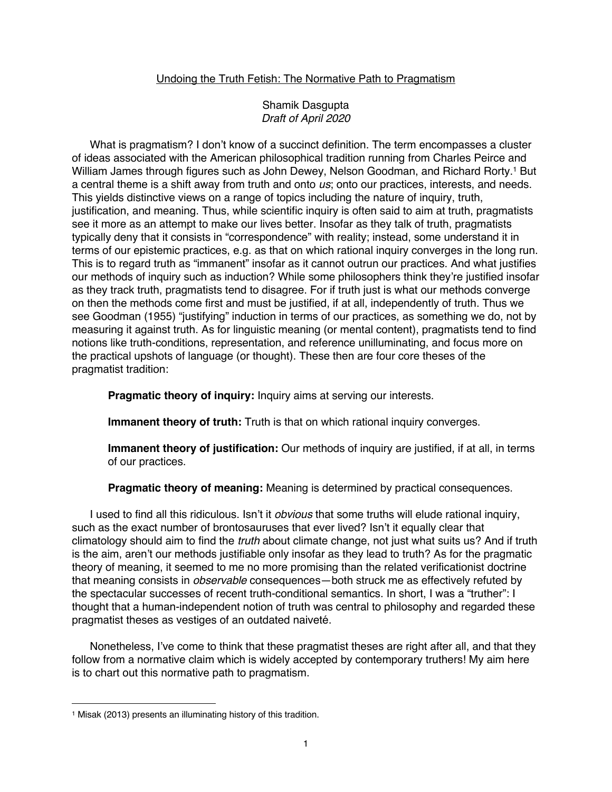# Undoing the Truth Fetish: The Normative Path to Pragmatism

# Shamik Dasgupta *Draft of April 2020*

What is pragmatism? I don't know of a succinct definition. The term encompasses a cluster of ideas associated with the American philosophical tradition running from Charles Peirce and William James through figures such as John Dewey, Nelson Goodman, and Richard Rorty.<sup>1</sup> But a central theme is a shift away from truth and onto *us*; onto our practices, interests, and needs. This yields distinctive views on a range of topics including the nature of inquiry, truth, justification, and meaning. Thus, while scientific inquiry is often said to aim at truth, pragmatists see it more as an attempt to make our lives better. Insofar as they talk of truth, pragmatists typically deny that it consists in "correspondence" with reality; instead, some understand it in terms of our epistemic practices, e.g. as that on which rational inquiry converges in the long run. This is to regard truth as "immanent" insofar as it cannot outrun our practices. And what justifies our methods of inquiry such as induction? While some philosophers think they're justified insofar as they track truth, pragmatists tend to disagree. For if truth just is what our methods converge on then the methods come first and must be justified, if at all, independently of truth. Thus we see Goodman (1955) "justifying" induction in terms of our practices, as something we do, not by measuring it against truth. As for linguistic meaning (or mental content), pragmatists tend to find notions like truth-conditions, representation, and reference unilluminating, and focus more on the practical upshots of language (or thought). These then are four core theses of the pragmatist tradition:

**Pragmatic theory of inquiry:** Inquiry aims at serving our interests.

**Immanent theory of truth:** Truth is that on which rational inquiry converges.

**Immanent theory of justification:** Our methods of inquiry are justified, if at all, in terms of our practices.

**Pragmatic theory of meaning:** Meaning is determined by practical consequences.

I used to find all this ridiculous. Isn't it *obvious* that some truths will elude rational inquiry, such as the exact number of brontosauruses that ever lived? Isn't it equally clear that climatology should aim to find the *truth* about climate change, not just what suits us? And if truth is the aim, aren't our methods justifiable only insofar as they lead to truth? As for the pragmatic theory of meaning, it seemed to me no more promising than the related verificationist doctrine that meaning consists in *observable* consequences—both struck me as effectively refuted by the spectacular successes of recent truth-conditional semantics. In short, I was a "truther": I thought that a human-independent notion of truth was central to philosophy and regarded these pragmatist theses as vestiges of an outdated naiveté.

Nonetheless, I've come to think that these pragmatist theses are right after all, and that they follow from a normative claim which is widely accepted by contemporary truthers! My aim here is to chart out this normative path to pragmatism.

<sup>1</sup> Misak (2013) presents an illuminating history of this tradition.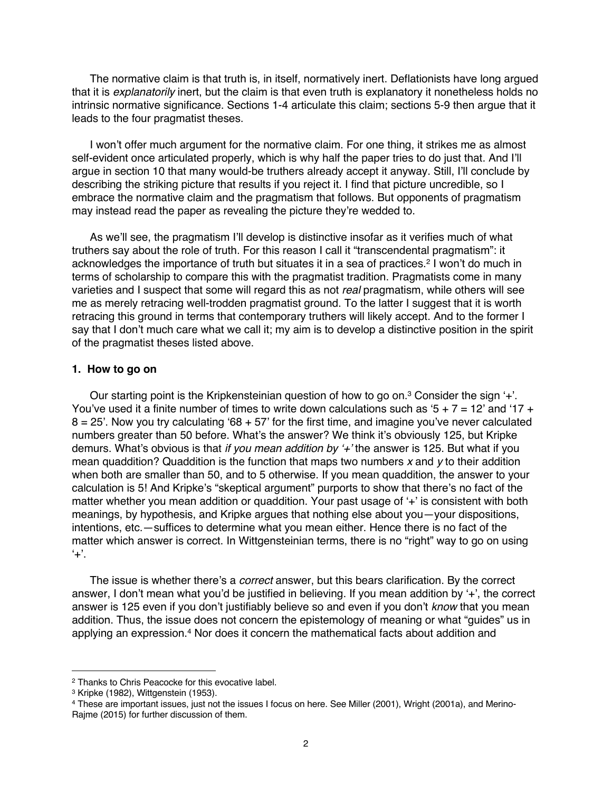The normative claim is that truth is, in itself, normatively inert. Deflationists have long argued that it is *explanatorily* inert, but the claim is that even truth is explanatory it nonetheless holds no intrinsic normative significance. Sections 1-4 articulate this claim; sections 5-9 then argue that it leads to the four pragmatist theses.

I won't offer much argument for the normative claim. For one thing, it strikes me as almost self-evident once articulated properly, which is why half the paper tries to do just that. And I'll argue in section 10 that many would-be truthers already accept it anyway. Still, I'll conclude by describing the striking picture that results if you reject it. I find that picture uncredible, so I embrace the normative claim and the pragmatism that follows. But opponents of pragmatism may instead read the paper as revealing the picture they're wedded to.

As we'll see, the pragmatism I'll develop is distinctive insofar as it verifies much of what truthers say about the role of truth. For this reason I call it "transcendental pragmatism": it acknowledges the importance of truth but situates it in a sea of practices.2 I won't do much in terms of scholarship to compare this with the pragmatist tradition. Pragmatists come in many varieties and I suspect that some will regard this as not *real* pragmatism, while others will see me as merely retracing well-trodden pragmatist ground. To the latter I suggest that it is worth retracing this ground in terms that contemporary truthers will likely accept. And to the former I say that I don't much care what we call it; my aim is to develop a distinctive position in the spirit of the pragmatist theses listed above.

### **1. How to go on**

Our starting point is the Kripkensteinian question of how to go on. <sup>3</sup> Consider the sign '+'. You've used it a finite number of times to write down calculations such as '5 + 7 = 12' and '17 +  $8 = 25'$ . Now you try calculating '68 + 57' for the first time, and imagine you've never calculated numbers greater than 50 before. What's the answer? We think it's obviously 125, but Kripke demurs. What's obvious is that *if you mean addition by '+'* the answer is 125. But what if you mean quaddition? Quaddition is the function that maps two numbers *x* and *y* to their addition when both are smaller than 50, and to 5 otherwise. If you mean quaddition, the answer to your calculation is 5! And Kripke's "skeptical argument" purports to show that there's no fact of the matter whether you mean addition or quaddition. Your past usage of '+' is consistent with both meanings, by hypothesis, and Kripke argues that nothing else about you—your dispositions, intentions, etc.—suffices to determine what you mean either. Hence there is no fact of the matter which answer is correct. In Wittgensteinian terms, there is no "right" way to go on using  $+$ '.

The issue is whether there's a *correct* answer, but this bears clarification. By the correct answer, I don't mean what you'd be justified in believing. If you mean addition by '+', the correct answer is 125 even if you don't justifiably believe so and even if you don't *know* that you mean addition. Thus, the issue does not concern the epistemology of meaning or what "guides" us in applying an expression.<sup>4</sup> Nor does it concern the mathematical facts about addition and

<sup>2</sup> Thanks to Chris Peacocke for this evocative label.

<sup>3</sup> Kripke (1982), Wittgenstein (1953).

<sup>4</sup> These are important issues, just not the issues I focus on here. See Miller (2001), Wright (2001a), and Merino-Rajme (2015) for further discussion of them.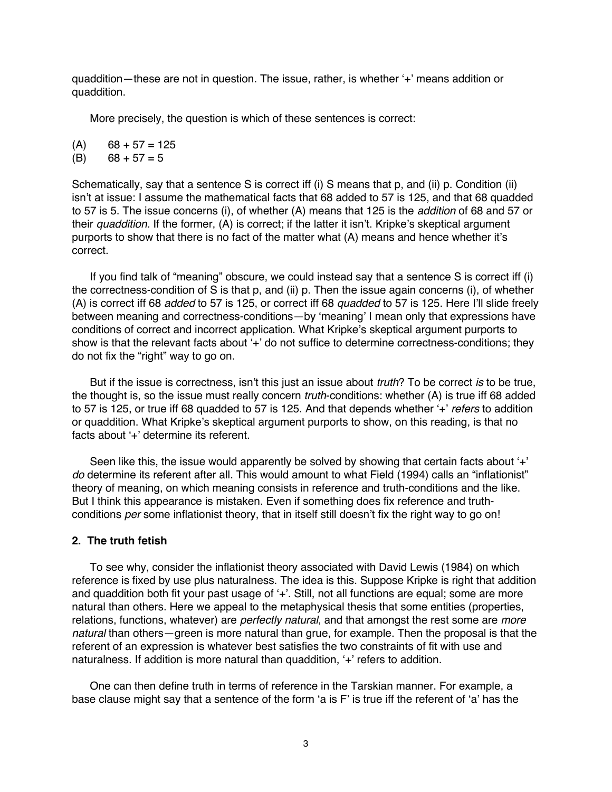quaddition—these are not in question. The issue, rather, is whether '+' means addition or quaddition.

More precisely, the question is which of these sentences is correct:

 $(A)$  68 + 57 = 125

 $(B)$  68 + 57 = 5

Schematically, say that a sentence S is correct iff (i) S means that p, and (ii) p. Condition (ii) isn't at issue: I assume the mathematical facts that 68 added to 57 is 125, and that 68 quadded to 57 is 5. The issue concerns (i), of whether (A) means that 125 is the *addition* of 68 and 57 or their *quaddition.* If the former, (A) is correct; if the latter it isn't. Kripke's skeptical argument purports to show that there is no fact of the matter what (A) means and hence whether it's correct.

If you find talk of "meaning" obscure, we could instead say that a sentence S is correct iff (i) the correctness-condition of S is that p, and (ii) p. Then the issue again concerns (i), of whether (A) is correct iff 68 *added* to 57 is 125, or correct iff 68 *quadded* to 57 is 125. Here I'll slide freely between meaning and correctness-conditions—by 'meaning' I mean only that expressions have conditions of correct and incorrect application. What Kripke's skeptical argument purports to show is that the relevant facts about '+' do not suffice to determine correctness-conditions; they do not fix the "right" way to go on.

But if the issue is correctness, isn't this just an issue about *truth*? To be correct *is* to be true, the thought is, so the issue must really concern *truth*-conditions: whether (A) is true iff 68 added to 57 is 125, or true iff 68 quadded to 57 is 125. And that depends whether '+' *refers* to addition or quaddition. What Kripke's skeptical argument purports to show, on this reading, is that no facts about '+' determine its referent.

Seen like this, the issue would apparently be solved by showing that certain facts about '+' *do* determine its referent after all. This would amount to what Field (1994) calls an "inflationist" theory of meaning, on which meaning consists in reference and truth-conditions and the like. But I think this appearance is mistaken. Even if something does fix reference and truthconditions *per* some inflationist theory, that in itself still doesn't fix the right way to go on!

### **2. The truth fetish**

To see why, consider the inflationist theory associated with David Lewis (1984) on which reference is fixed by use plus naturalness. The idea is this. Suppose Kripke is right that addition and quaddition both fit your past usage of '+'. Still, not all functions are equal; some are more natural than others. Here we appeal to the metaphysical thesis that some entities (properties, relations, functions, whatever) are *perfectly natural*, and that amongst the rest some are *more natural* than others—green is more natural than grue, for example. Then the proposal is that the referent of an expression is whatever best satisfies the two constraints of fit with use and naturalness. If addition is more natural than quaddition, '+' refers to addition.

One can then define truth in terms of reference in the Tarskian manner. For example, a base clause might say that a sentence of the form 'a is F' is true iff the referent of 'a' has the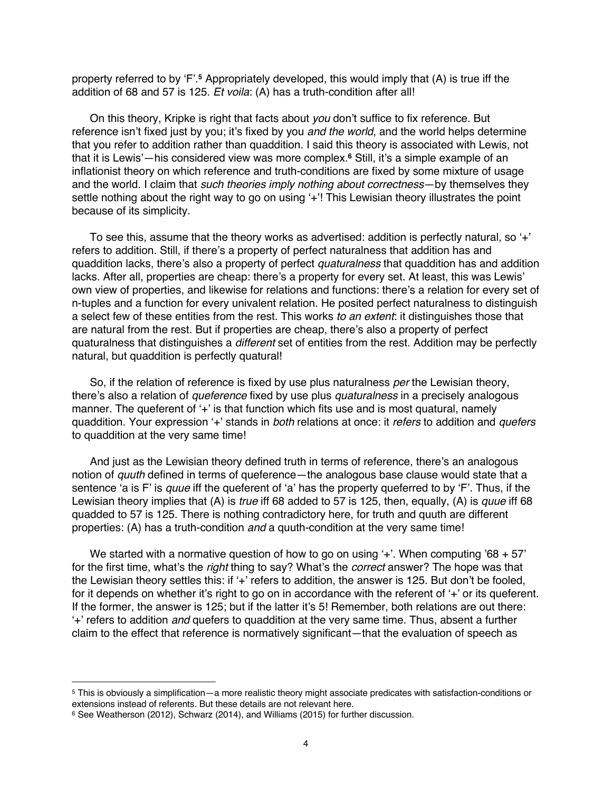property referred to by 'F'.**<sup>5</sup>** Appropriately developed, this would imply that (A) is true iff the addition of 68 and 57 is 125. *Et voila*: (A) has a truth-condition after all!

On this theory, Kripke is right that facts about *you* don't suffice to fix reference. But reference isn't fixed just by you; it's fixed by you *and the world*, and the world helps determine that you refer to addition rather than quaddition. I said this theory is associated with Lewis, not that it is Lewis'—his considered view was more complex.**<sup>6</sup>** Still, it's a simple example of an inflationist theory on which reference and truth-conditions are fixed by some mixture of usage and the world. I claim that *such theories imply nothing about correctness*—by themselves they settle nothing about the right way to go on using '+'! This Lewisian theory illustrates the point because of its simplicity.

To see this, assume that the theory works as advertised: addition is perfectly natural, so '+' refers to addition. Still, if there's a property of perfect naturalness that addition has and quaddition lacks, there's also a property of perfect *quaturalness* that quaddition has and addition lacks. After all, properties are cheap: there's a property for every set. At least, this was Lewis' own view of properties, and likewise for relations and functions: there's a relation for every set of n-tuples and a function for every univalent relation. He posited perfect naturalness to distinguish a select few of these entities from the rest. This works *to an extent*: it distinguishes those that are natural from the rest. But if properties are cheap, there's also a property of perfect quaturalness that distinguishes a *different* set of entities from the rest. Addition may be perfectly natural, but quaddition is perfectly quatural!

So, if the relation of reference is fixed by use plus naturalness *per* the Lewisian theory, there's also a relation of *queference* fixed by use plus *quaturalness* in a precisely analogous manner. The queferent of '+' is that function which fits use and is most quatural, namely quaddition. Your expression '+' stands in *both* relations at once: it *refers* to addition and *quefers* to quaddition at the very same time!

And just as the Lewisian theory defined truth in terms of reference, there's an analogous notion of *quuth* defined in terms of queference—the analogous base clause would state that a sentence 'a is F' is *quue* iff the queferent of 'a' has the property queferred to by 'F'. Thus, if the Lewisian theory implies that (A) is *true* iff 68 added to 57 is 125, then, equally, (A) is *quue* iff 68 quadded to 57 is 125. There is nothing contradictory here, for truth and quuth are different properties: (A) has a truth-condition *and* a quuth-condition at the very same time!

We started with a normative question of how to go on using  $+$ <sup>'</sup>. When computing '68  $+57$ ' for the first time, what's the *right* thing to say? What's the *correct* answer? The hope was that the Lewisian theory settles this: if '+' refers to addition, the answer is 125. But don't be fooled, for it depends on whether it's right to go on in accordance with the referent of '+' or its queferent. If the former, the answer is 125; but if the latter it's 5! Remember, both relations are out there: '+' refers to addition *and* quefers to quaddition at the very same time. Thus, absent a further claim to the effect that reference is normatively significant—that the evaluation of speech as

<sup>5</sup> This is obviously a simplification—a more realistic theory might associate predicates with satisfaction-conditions or extensions instead of referents. But these details are not relevant here.

<sup>6</sup> See Weatherson (2012), Schwarz (2014), and Williams (2015) for further discussion.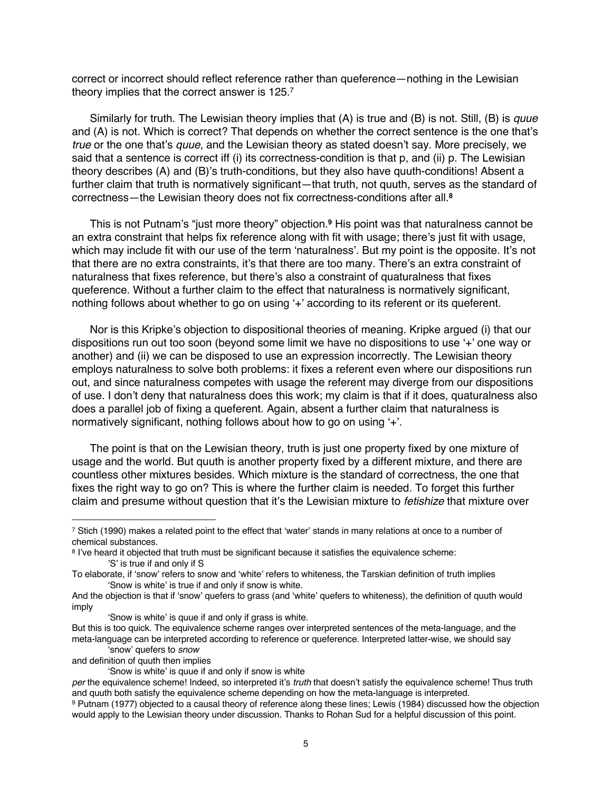correct or incorrect should reflect reference rather than queference—nothing in the Lewisian theory implies that the correct answer is 125.7

Similarly for truth. The Lewisian theory implies that (A) is true and (B) is not. Still, (B) is *quue* and (A) is not. Which is correct? That depends on whether the correct sentence is the one that's *true* or the one that's *quue*, and the Lewisian theory as stated doesn't say. More precisely, we said that a sentence is correct iff (i) its correctness-condition is that p, and (ii) p. The Lewisian theory describes (A) and (B)'s truth-conditions, but they also have quuth-conditions! Absent a further claim that truth is normatively significant—that truth, not quuth, serves as the standard of correctness—the Lewisian theory does not fix correctness-conditions after all. **8**

This is not Putnam's "just more theory" objection.**<sup>9</sup>** His point was that naturalness cannot be an extra constraint that helps fix reference along with fit with usage; there's just fit with usage, which may include fit with our use of the term 'naturalness'. But my point is the opposite. It's not that there are no extra constraints, it's that there are too many. There's an extra constraint of naturalness that fixes reference, but there's also a constraint of quaturalness that fixes queference. Without a further claim to the effect that naturalness is normatively significant, nothing follows about whether to go on using '+' according to its referent or its queferent.

Nor is this Kripke's objection to dispositional theories of meaning. Kripke argued (i) that our dispositions run out too soon (beyond some limit we have no dispositions to use '+' one way or another) and (ii) we can be disposed to use an expression incorrectly. The Lewisian theory employs naturalness to solve both problems: it fixes a referent even where our dispositions run out, and since naturalness competes with usage the referent may diverge from our dispositions of use. I don't deny that naturalness does this work; my claim is that if it does, quaturalness also does a parallel job of fixing a queferent. Again, absent a further claim that naturalness is normatively significant, nothing follows about how to go on using '+'.

The point is that on the Lewisian theory, truth is just one property fixed by one mixture of usage and the world. But quuth is another property fixed by a different mixture, and there are countless other mixtures besides. Which mixture is the standard of correctness, the one that fixes the right way to go on? This is where the further claim is needed. To forget this further claim and presume without question that it's the Lewisian mixture to *fetishize* that mixture over

and definition of quuth then implies

<sup>7</sup> Stich (1990) makes a related point to the effect that 'water' stands in many relations at once to a number of chemical substances.

<sup>8</sup> I've heard it objected that truth must be significant because it satisfies the equivalence scheme: 'S' is true if and only if S

To elaborate, if 'snow' refers to snow and 'white' refers to whiteness, the Tarskian definition of truth implies 'Snow is white' is true if and only if snow is white.

And the objection is that if 'snow' quefers to grass (and 'white' quefers to whiteness), the definition of quuth would imply

<sup>&#</sup>x27;Snow is white' is quue if and only if grass is white.

But this is too quick. The equivalence scheme ranges over interpreted sentences of the meta-language, and the meta-language can be interpreted according to reference or queference. Interpreted latter-wise, we should say 'snow' quefers to *snow*

<sup>&#</sup>x27;Snow is white' is quue if and only if snow is white

*per* the equivalence scheme! Indeed, so interpreted it's *truth* that doesn't satisfy the equivalence scheme! Thus truth and quuth both satisfy the equivalence scheme depending on how the meta-language is interpreted.

<sup>9</sup> Putnam (1977) objected to a causal theory of reference along these lines; Lewis (1984) discussed how the objection would apply to the Lewisian theory under discussion. Thanks to Rohan Sud for a helpful discussion of this point.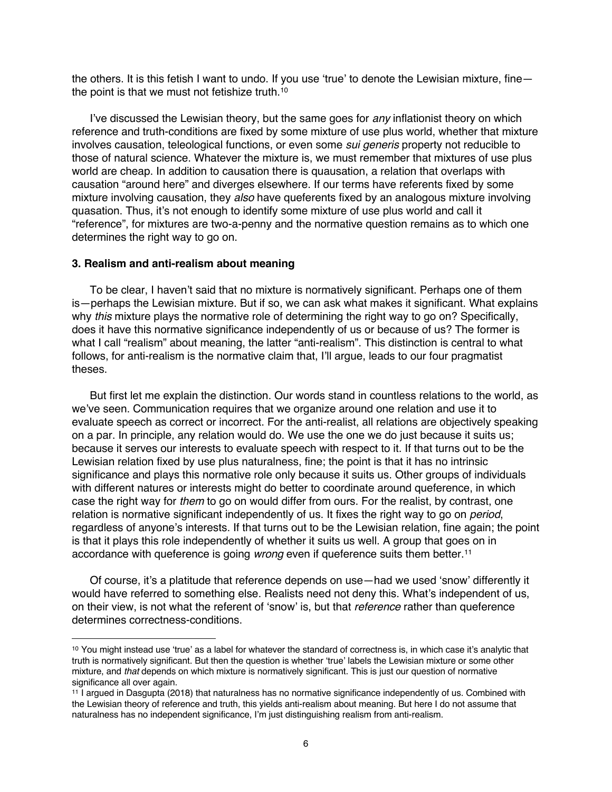the others. It is this fetish I want to undo. If you use 'true' to denote the Lewisian mixture, fine the point is that we must not fetishize truth.10

I've discussed the Lewisian theory, but the same goes for *any* inflationist theory on which reference and truth-conditions are fixed by some mixture of use plus world, whether that mixture involves causation, teleological functions, or even some *sui generis* property not reducible to those of natural science. Whatever the mixture is, we must remember that mixtures of use plus world are cheap. In addition to causation there is quausation, a relation that overlaps with causation "around here" and diverges elsewhere. If our terms have referents fixed by some mixture involving causation, they *also* have queferents fixed by an analogous mixture involving quasation. Thus, it's not enough to identify some mixture of use plus world and call it "reference", for mixtures are two-a-penny and the normative question remains as to which one determines the right way to go on.

### **3. Realism and anti-realism about meaning**

To be clear, I haven't said that no mixture is normatively significant. Perhaps one of them is—perhaps the Lewisian mixture. But if so, we can ask what makes it significant. What explains why *this* mixture plays the normative role of determining the right way to go on? Specifically, does it have this normative significance independently of us or because of us? The former is what I call "realism" about meaning, the latter "anti-realism". This distinction is central to what follows, for anti-realism is the normative claim that, I'll argue, leads to our four pragmatist theses.

But first let me explain the distinction. Our words stand in countless relations to the world, as we've seen. Communication requires that we organize around one relation and use it to evaluate speech as correct or incorrect. For the anti-realist, all relations are objectively speaking on a par. In principle, any relation would do. We use the one we do just because it suits us; because it serves our interests to evaluate speech with respect to it. If that turns out to be the Lewisian relation fixed by use plus naturalness, fine; the point is that it has no intrinsic significance and plays this normative role only because it suits us. Other groups of individuals with different natures or interests might do better to coordinate around queference, in which case the right way for *them* to go on would differ from ours. For the realist, by contrast, one relation is normative significant independently of us. It fixes the right way to go on *period*, regardless of anyone's interests. If that turns out to be the Lewisian relation, fine again; the point is that it plays this role independently of whether it suits us well. A group that goes on in accordance with queference is going *wrong* even if queference suits them better.11

Of course, it's a platitude that reference depends on use—had we used 'snow' differently it would have referred to something else. Realists need not deny this. What's independent of us, on their view, is not what the referent of 'snow' is, but that *reference* rather than queference determines correctness-conditions.

<sup>&</sup>lt;sup>10</sup> You might instead use 'true' as a label for whatever the standard of correctness is, in which case it's analytic that truth is normatively significant. But then the question is whether 'true' labels the Lewisian mixture or some other mixture, and *that* depends on which mixture is normatively significant. This is just our question of normative significance all over again.

<sup>11</sup> I argued in Dasgupta (2018) that naturalness has no normative significance independently of us. Combined with the Lewisian theory of reference and truth, this yields anti-realism about meaning. But here I do not assume that naturalness has no independent significance, I'm just distinguishing realism from anti-realism.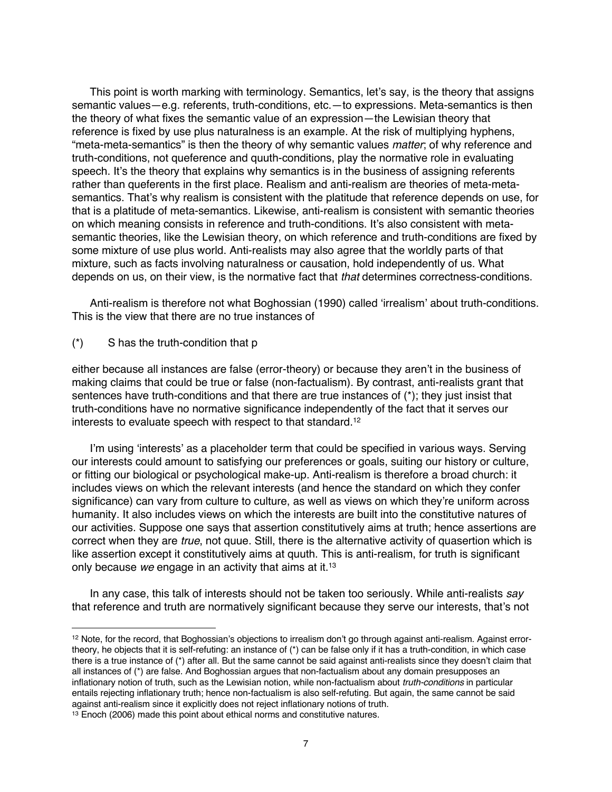This point is worth marking with terminology. Semantics, let's say, is the theory that assigns semantic values—e.g. referents, truth-conditions, etc.—to expressions. Meta-semantics is then the theory of what fixes the semantic value of an expression—the Lewisian theory that reference is fixed by use plus naturalness is an example. At the risk of multiplying hyphens, "meta-meta-semantics" is then the theory of why semantic values *matter*; of why reference and truth-conditions, not queference and quuth-conditions, play the normative role in evaluating speech. It's the theory that explains why semantics is in the business of assigning referents rather than queferents in the first place. Realism and anti-realism are theories of meta-metasemantics. That's why realism is consistent with the platitude that reference depends on use, for that is a platitude of meta-semantics. Likewise, anti-realism is consistent with semantic theories on which meaning consists in reference and truth-conditions. It's also consistent with metasemantic theories, like the Lewisian theory, on which reference and truth-conditions are fixed by some mixture of use plus world. Anti-realists may also agree that the worldly parts of that mixture, such as facts involving naturalness or causation, hold independently of us. What depends on us, on their view, is the normative fact that *that* determines correctness-conditions.

Anti-realism is therefore not what Boghossian (1990) called 'irrealism' about truth-conditions. This is the view that there are no true instances of

(\*) S has the truth-condition that p

either because all instances are false (error-theory) or because they aren't in the business of making claims that could be true or false (non-factualism). By contrast, anti-realists grant that sentences have truth-conditions and that there are true instances of (\*); they just insist that truth-conditions have no normative significance independently of the fact that it serves our interests to evaluate speech with respect to that standard. 12

I'm using 'interests' as a placeholder term that could be specified in various ways. Serving our interests could amount to satisfying our preferences or goals, suiting our history or culture, or fitting our biological or psychological make-up. Anti-realism is therefore a broad church: it includes views on which the relevant interests (and hence the standard on which they confer significance) can vary from culture to culture, as well as views on which they're uniform across humanity. It also includes views on which the interests are built into the constitutive natures of our activities. Suppose one says that assertion constitutively aims at truth; hence assertions are correct when they are *true*, not quue. Still, there is the alternative activity of quasertion which is like assertion except it constitutively aims at quuth. This is anti-realism, for truth is significant only because *we* engage in an activity that aims at it. 13

In any case, this talk of interests should not be taken too seriously. While anti-realists *say* that reference and truth are normatively significant because they serve our interests, that's not

<sup>&</sup>lt;sup>12</sup> Note, for the record, that Boghossian's objections to irrealism don't go through against anti-realism. Against errortheory, he objects that it is self-refuting: an instance of (\*) can be false only if it has a truth-condition, in which case there is a true instance of (\*) after all. But the same cannot be said against anti-realists since they doesn't claim that all instances of (\*) are false. And Boghossian argues that non-factualism about any domain presupposes an inflationary notion of truth, such as the Lewisian notion, while non-factualism about *truth-conditions* in particular entails rejecting inflationary truth; hence non-factualism is also self-refuting. But again, the same cannot be said against anti-realism since it explicitly does not reject inflationary notions of truth.

<sup>&</sup>lt;sup>13</sup> Enoch (2006) made this point about ethical norms and constitutive natures.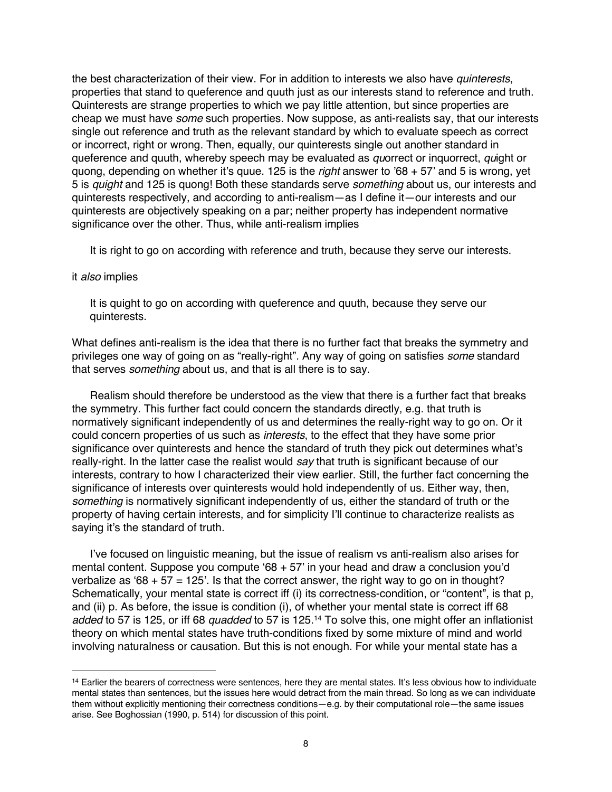the best characterization of their view. For in addition to interests we also have *quinterests*, properties that stand to queference and quuth just as our interests stand to reference and truth. Quinterests are strange properties to which we pay little attention, but since properties are cheap we must have *some* such properties. Now suppose, as anti-realists say, that our interests single out reference and truth as the relevant standard by which to evaluate speech as correct or incorrect, right or wrong. Then, equally, our quinterests single out another standard in queference and quuth, whereby speech may be evaluated as *qu*orrect or inquorrect, *qu*ight or quong, depending on whether it's quue. 125 is the *right* answer to '68 + 57' and 5 is wrong, yet 5 is *quight* and 125 is quong! Both these standards serve *something* about us, our interests and quinterests respectively, and according to anti-realism—as I define it—our interests and our quinterests are objectively speaking on a par; neither property has independent normative significance over the other. Thus, while anti-realism implies

It is right to go on according with reference and truth, because they serve our interests.

#### it *also* implies

It is quight to go on according with queference and quuth, because they serve our quinterests.

What defines anti-realism is the idea that there is no further fact that breaks the symmetry and privileges one way of going on as "really-right". Any way of going on satisfies *some* standard that serves *something* about us, and that is all there is to say.

Realism should therefore be understood as the view that there is a further fact that breaks the symmetry. This further fact could concern the standards directly, e.g. that truth is normatively significant independently of us and determines the really-right way to go on. Or it could concern properties of us such as *interests*, to the effect that they have some prior significance over quinterests and hence the standard of truth they pick out determines what's really-right. In the latter case the realist would *say* that truth is significant because of our interests, contrary to how I characterized their view earlier. Still, the further fact concerning the significance of interests over quinterests would hold independently of us. Either way, then, *something* is normatively significant independently of us, either the standard of truth or the property of having certain interests, and for simplicity I'll continue to characterize realists as saying it's the standard of truth.

I've focused on linguistic meaning, but the issue of realism vs anti-realism also arises for mental content. Suppose you compute '68 + 57' in your head and draw a conclusion you'd verbalize as '68 + 57 = 125'. Is that the correct answer, the right way to go on in thought? Schematically, your mental state is correct iff (i) its correctness-condition, or "content", is that p, and (ii) p. As before, the issue is condition (i), of whether your mental state is correct iff 68 *added* to 57 is 125, or iff 68 *quadded* to 57 is 125.14 To solve this, one might offer an inflationist theory on which mental states have truth-conditions fixed by some mixture of mind and world involving naturalness or causation. But this is not enough. For while your mental state has a

<sup>&</sup>lt;sup>14</sup> Earlier the bearers of correctness were sentences, here they are mental states. It's less obvious how to individuate mental states than sentences, but the issues here would detract from the main thread. So long as we can individuate them without explicitly mentioning their correctness conditions—e.g. by their computational role—the same issues arise. See Boghossian (1990, p. 514) for discussion of this point.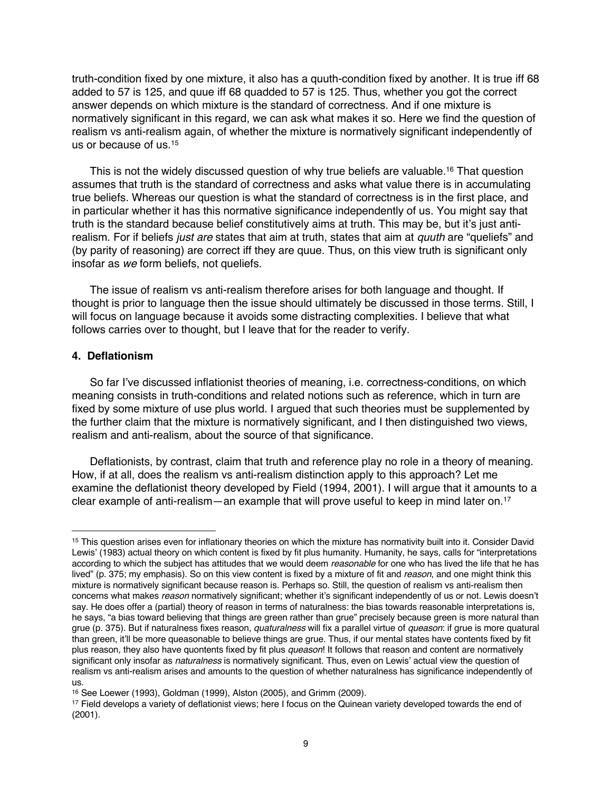truth-condition fixed by one mixture, it also has a quuth-condition fixed by another. It is true iff 68 added to 57 is 125, and quue iff 68 quadded to 57 is 125. Thus, whether you got the correct answer depends on which mixture is the standard of correctness. And if one mixture is normatively significant in this regard, we can ask what makes it so. Here we find the question of realism vs anti-realism again, of whether the mixture is normatively significant independently of us or because of us. 15

This is not the widely discussed question of why true beliefs are valuable.<sup>16</sup> That question assumes that truth is the standard of correctness and asks what value there is in accumulating true beliefs. Whereas our question is what the standard of correctness is in the first place, and in particular whether it has this normative significance independently of us. You might say that truth is the standard because belief constitutively aims at truth. This may be, but it's just antirealism. For if beliefs *just are* states that aim at truth, states that aim at *quuth* are "queliefs" and (by parity of reasoning) are correct iff they are quue. Thus, on this view truth is significant only insofar as *we* form beliefs, not queliefs.

The issue of realism vs anti-realism therefore arises for both language and thought. If thought is prior to language then the issue should ultimately be discussed in those terms. Still, I will focus on language because it avoids some distracting complexities. I believe that what follows carries over to thought, but I leave that for the reader to verify.

## **4. Deflationism**

So far I've discussed inflationist theories of meaning, i.e. correctness-conditions, on which meaning consists in truth-conditions and related notions such as reference, which in turn are fixed by some mixture of use plus world. I argued that such theories must be supplemented by the further claim that the mixture is normatively significant, and I then distinguished two views, realism and anti-realism, about the source of that significance.

Deflationists, by contrast, claim that truth and reference play no role in a theory of meaning. How, if at all, does the realism vs anti-realism distinction apply to this approach? Let me examine the deflationist theory developed by Field (1994, 2001). I will argue that it amounts to a clear example of anti-realism—an example that will prove useful to keep in mind later on.17

<sup>15</sup> This question arises even for inflationary theories on which the mixture has normativity built into it. Consider David Lewis' (1983) actual theory on which content is fixed by fit plus humanity. Humanity, he says, calls for "interpretations according to which the subject has attitudes that we would deem *reasonable* for one who has lived the life that he has lived" (p. 375; my emphasis). So on this view content is fixed by a mixture of fit and *reason*, and one might think this mixture is normatively significant because reason is. Perhaps so. Still, the question of realism vs anti-realism then concerns what makes *reason* normatively significant; whether it's significant independently of us or not. Lewis doesn't say. He does offer a (partial) theory of reason in terms of naturalness: the bias towards reasonable interpretations is, he says, "a bias toward believing that things are green rather than grue" precisely because green is more natural than grue (p. 375). But if naturalness fixes reason, *quaturalness* will fix a parallel virtue of *queason*: if grue is more quatural than green, it'll be more queasonable to believe things are grue. Thus, if our mental states have contents fixed by fit plus reason, they also have quontents fixed by fit plus *queason*! It follows that reason and content are normatively significant only insofar as *naturalness* is normatively significant. Thus, even on Lewis' actual view the question of realism vs anti-realism arises and amounts to the question of whether naturalness has significance independently of

us. 16 See Loewer (1993), Goldman (1999), Alston (2005), and Grimm (2009).

<sup>17</sup> Field develops a variety of deflationist views; here I focus on the Quinean variety developed towards the end of (2001).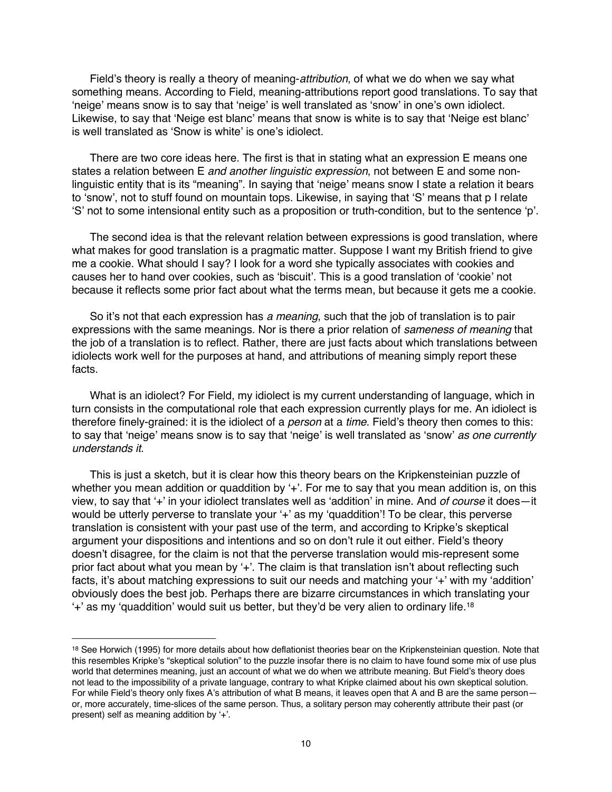Field's theory is really a theory of meaning-*attribution*, of what we do when we say what something means. According to Field, meaning-attributions report good translations. To say that 'neige' means snow is to say that 'neige' is well translated as 'snow' in one's own idiolect. Likewise, to say that 'Neige est blanc' means that snow is white is to say that 'Neige est blanc' is well translated as 'Snow is white' is one's idiolect.

There are two core ideas here. The first is that in stating what an expression E means one states a relation between E *and another linguistic expression*, not between E and some nonlinguistic entity that is its "meaning". In saying that 'neige' means snow I state a relation it bears to 'snow', not to stuff found on mountain tops. Likewise, in saying that 'S' means that p I relate 'S' not to some intensional entity such as a proposition or truth-condition, but to the sentence 'p'.

The second idea is that the relevant relation between expressions is good translation, where what makes for good translation is a pragmatic matter. Suppose I want my British friend to give me a cookie. What should I say? I look for a word she typically associates with cookies and causes her to hand over cookies, such as 'biscuit'. This is a good translation of 'cookie' not because it reflects some prior fact about what the terms mean, but because it gets me a cookie.

So it's not that each expression has *a meaning*, such that the job of translation is to pair expressions with the same meanings. Nor is there a prior relation of *sameness of meaning* that the job of a translation is to reflect. Rather, there are just facts about which translations between idiolects work well for the purposes at hand, and attributions of meaning simply report these facts.

What is an idiolect? For Field, my idiolect is my current understanding of language, which in turn consists in the computational role that each expression currently plays for me. An idiolect is therefore finely-grained: it is the idiolect of a *person* at a *time*. Field's theory then comes to this: to say that 'neige' means snow is to say that 'neige' is well translated as 'snow' *as one currently understands it*.

This is just a sketch, but it is clear how this theory bears on the Kripkensteinian puzzle of whether you mean addition or quaddition by '+'. For me to say that you mean addition is, on this view, to say that '+' in your idiolect translates well as 'addition' in mine. And *of course* it does—it would be utterly perverse to translate your '+' as my 'quaddition'! To be clear, this perverse translation is consistent with your past use of the term, and according to Kripke's skeptical argument your dispositions and intentions and so on don't rule it out either. Field's theory doesn't disagree, for the claim is not that the perverse translation would mis-represent some prior fact about what you mean by '+'. The claim is that translation isn't about reflecting such facts, it's about matching expressions to suit our needs and matching your '+' with my 'addition' obviously does the best job. Perhaps there are bizarre circumstances in which translating your '+' as my 'quaddition' would suit us better, but they'd be very alien to ordinary life.18

<sup>&</sup>lt;sup>18</sup> See Horwich (1995) for more details about how deflationist theories bear on the Kripkensteinian question. Note that this resembles Kripke's "skeptical solution" to the puzzle insofar there is no claim to have found some mix of use plus world that determines meaning, just an account of what we do when we attribute meaning. But Field's theory does not lead to the impossibility of a private language, contrary to what Kripke claimed about his own skeptical solution. For while Field's theory only fixes A's attribution of what B means, it leaves open that A and B are the same person or, more accurately, time-slices of the same person. Thus, a solitary person may coherently attribute their past (or present) self as meaning addition by '+'.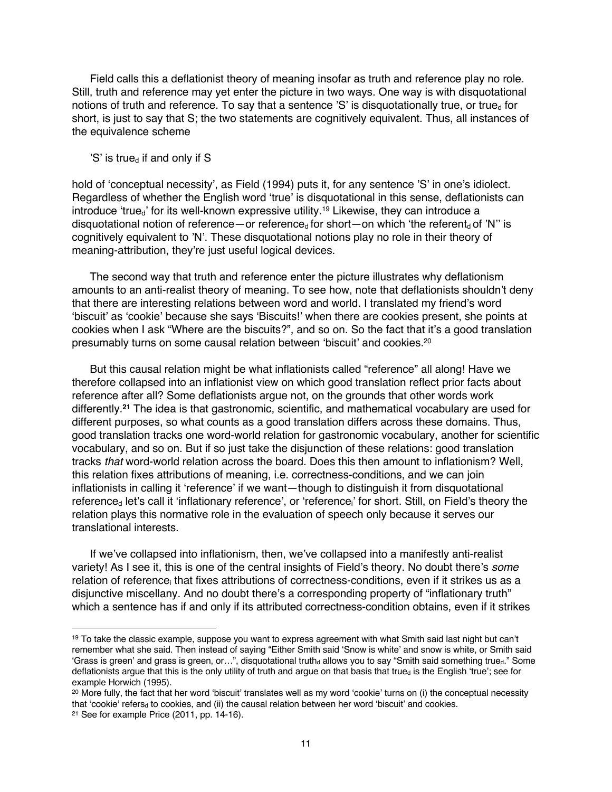Field calls this a deflationist theory of meaning insofar as truth and reference play no role. Still, truth and reference may yet enter the picture in two ways. One way is with disquotational notions of truth and reference. To say that a sentence 'S' is disquotationally true, or true<sub>d</sub> for short, is just to say that S; the two statements are cognitively equivalent. Thus, all instances of the equivalence scheme

### 'S' is true<sub>d</sub> if and only if S

hold of 'conceptual necessity', as Field (1994) puts it, for any sentence 'S' in one's idiolect. Regardless of whether the English word 'true' is disquotational in this sense, deflationists can introduce 'true<sub>d</sub>' for its well-known expressive utility.<sup>19</sup> Likewise, they can introduce a disquotational notion of reference—or reference<sub>d</sub> for short—on which 'the referent<sub>d</sub> of 'N" is cognitively equivalent to 'N'. These disquotational notions play no role in their theory of meaning-attribution, they're just useful logical devices.

The second way that truth and reference enter the picture illustrates why deflationism amounts to an anti-realist theory of meaning. To see how, note that deflationists shouldn't deny that there are interesting relations between word and world. I translated my friend's word 'biscuit' as 'cookie' because she says 'Biscuits!' when there are cookies present, she points at cookies when I ask "Where are the biscuits?", and so on. So the fact that it's a good translation presumably turns on some causal relation between 'biscuit' and cookies.20

But this causal relation might be what inflationists called "reference" all along! Have we therefore collapsed into an inflationist view on which good translation reflect prior facts about reference after all? Some deflationists argue not, on the grounds that other words work differently.**<sup>21</sup>** The idea is that gastronomic, scientific, and mathematical vocabulary are used for different purposes, so what counts as a good translation differs across these domains. Thus, good translation tracks one word-world relation for gastronomic vocabulary, another for scientific vocabulary, and so on. But if so just take the disjunction of these relations: good translation tracks *that* word-world relation across the board. Does this then amount to inflationism? Well, this relation fixes attributions of meaning, i.e. correctness-conditions, and we can join inflationists in calling it 'reference' if we want—though to distinguish it from disquotational reference<sub>d</sub> let's call it 'inflationary reference', or 'reference<sub>i</sub>' for short. Still, on Field's theory the relation plays this normative role in the evaluation of speech only because it serves our translational interests.

If we've collapsed into inflationism, then, we've collapsed into a manifestly anti-realist variety! As I see it, this is one of the central insights of Field's theory. No doubt there's *some* relation of reference<sub>i</sub> that fixes attributions of correctness-conditions, even if it strikes us as a disjunctive miscellany. And no doubt there's a corresponding property of "inflationary truth" which a sentence has if and only if its attributed correctness-condition obtains, even if it strikes

 $19$  To take the classic example, suppose you want to express agreement with what Smith said last night but can't remember what she said. Then instead of saying "Either Smith said 'Snow is white' and snow is white, or Smith said 'Grass is green' and grass is green, or...", disquotational truth<sub>d</sub> allows you to say "Smith said something trued." Some deflationists argue that this is the only utility of truth and argue on that basis that trued is the English 'true'; see for example Horwich (1995).

<sup>&</sup>lt;sup>20</sup> More fully, the fact that her word 'biscuit' translates well as my word 'cookie' turns on (i) the conceptual necessity that 'cookie' refers $<sub>d</sub>$  to cookies, and (ii) the causal relation between her word 'biscuit' and cookies.</sub> <sup>21</sup> See for example Price (2011, pp. 14-16).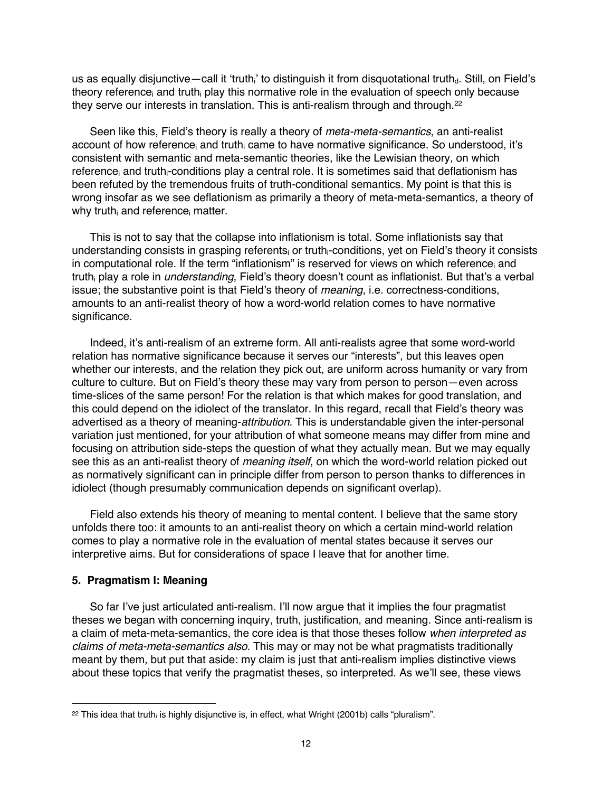us as equally disjunctive—call it 'truth<sub>i</sub>' to distinguish it from disquotational truth<sub>d</sub>. Still, on Field's theory reference<sub>i</sub> and truth<sub>i</sub> play this normative role in the evaluation of speech only because they serve our interests in translation. This is anti-realism through and through.<sup>22</sup>

Seen like this, Field's theory is really a theory of *meta-meta-semantics*, an anti-realist account of how reference<sub>i</sub> and truth<sub>i</sub> came to have normative significance. So understood, it's consistent with semantic and meta-semantic theories, like the Lewisian theory, on which reference and truthe-conditions play a central role. It is sometimes said that deflationism has been refuted by the tremendous fruits of truth-conditional semantics. My point is that this is wrong insofar as we see deflationism as primarily a theory of meta-meta-semantics, a theory of why truth<sub>i</sub> and reference<sub>i</sub> matter.

This is not to say that the collapse into inflationism is total. Some inflationists say that understanding consists in grasping referents<sub>i</sub> or truth<sub>i</sub>-conditions, yet on Field's theory it consists in computational role. If the term "inflationism" is reserved for views on which reference<sub>i</sub> and truthi play a role in *understanding*, Field's theory doesn't count as inflationist. But that's a verbal issue; the substantive point is that Field's theory of *meaning,* i.e. correctness-conditions, amounts to an anti-realist theory of how a word-world relation comes to have normative significance.

Indeed, it's anti-realism of an extreme form. All anti-realists agree that some word-world relation has normative significance because it serves our "interests", but this leaves open whether our interests, and the relation they pick out, are uniform across humanity or vary from culture to culture. But on Field's theory these may vary from person to person—even across time-slices of the same person! For the relation is that which makes for good translation, and this could depend on the idiolect of the translator. In this regard, recall that Field's theory was advertised as a theory of meaning-*attribution*. This is understandable given the inter-personal variation just mentioned, for your attribution of what someone means may differ from mine and focusing on attribution side-steps the question of what they actually mean. But we may equally see this as an anti-realist theory of *meaning itself*, on which the word-world relation picked out as normatively significant can in principle differ from person to person thanks to differences in idiolect (though presumably communication depends on significant overlap).

Field also extends his theory of meaning to mental content. I believe that the same story unfolds there too: it amounts to an anti-realist theory on which a certain mind-world relation comes to play a normative role in the evaluation of mental states because it serves our interpretive aims. But for considerations of space I leave that for another time.

# **5. Pragmatism I: Meaning**

So far I've just articulated anti-realism. I'll now argue that it implies the four pragmatist theses we began with concerning inquiry, truth, justification, and meaning. Since anti-realism is a claim of meta-meta-semantics, the core idea is that those theses follow *when interpreted as claims of meta-meta-semantics also*. This may or may not be what pragmatists traditionally meant by them, but put that aside: my claim is just that anti-realism implies distinctive views about these topics that verify the pragmatist theses, so interpreted. As we'll see, these views

<sup>&</sup>lt;sup>22</sup> This idea that truth<sub>i</sub> is highly disjunctive is, in effect, what Wright (2001b) calls "pluralism".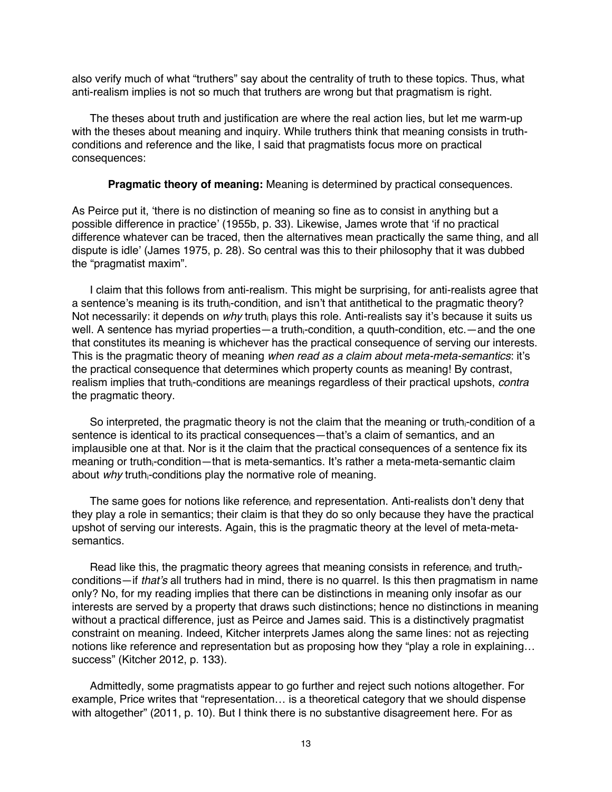also verify much of what "truthers" say about the centrality of truth to these topics. Thus, what anti-realism implies is not so much that truthers are wrong but that pragmatism is right.

The theses about truth and justification are where the real action lies, but let me warm-up with the theses about meaning and inquiry. While truthers think that meaning consists in truthconditions and reference and the like, I said that pragmatists focus more on practical consequences:

## **Pragmatic theory of meaning:** Meaning is determined by practical consequences.

As Peirce put it, 'there is no distinction of meaning so fine as to consist in anything but a possible difference in practice' (1955b, p. 33). Likewise, James wrote that 'if no practical difference whatever can be traced, then the alternatives mean practically the same thing, and all dispute is idle' (James 1975, p. 28). So central was this to their philosophy that it was dubbed the "pragmatist maxim".

I claim that this follows from anti-realism. This might be surprising, for anti-realists agree that a sentence's meaning is its truth<sub>i</sub>-condition, and isn't that antithetical to the pragmatic theory? Not necessarily: it depends on *why* truth<sub>i</sub> plays this role. Anti-realists say it's because it suits us well. A sentence has myriad properties—a truth<sub>i</sub>-condition, a quuth-condition, etc.—and the one that constitutes its meaning is whichever has the practical consequence of serving our interests. This is the pragmatic theory of meaning *when read as a claim about meta-meta-semantics*: it's the practical consequence that determines which property counts as meaning! By contrast, realism implies that truthi-conditions are meanings regardless of their practical upshots, *contra* the pragmatic theory.

So interpreted, the pragmatic theory is not the claim that the meaning or truth-condition of a sentence is identical to its practical consequences—that's a claim of semantics, and an implausible one at that. Nor is it the claim that the practical consequences of a sentence fix its meaning or truth<sub>i</sub>-condition—that is meta-semantics. It's rather a meta-meta-semantic claim about *why* truthe conditions play the normative role of meaning.

The same goes for notions like reference  $a_i$  and representation. Anti-realists don't deny that they play a role in semantics; their claim is that they do so only because they have the practical upshot of serving our interests. Again, this is the pragmatic theory at the level of meta-metasemantics.

Read like this, the pragmatic theory agrees that meaning consists in reference and truthconditions—if *that's* all truthers had in mind, there is no quarrel. Is this then pragmatism in name only? No, for my reading implies that there can be distinctions in meaning only insofar as our interests are served by a property that draws such distinctions; hence no distinctions in meaning without a practical difference, just as Peirce and James said. This is a distinctively pragmatist constraint on meaning. Indeed, Kitcher interprets James along the same lines: not as rejecting notions like reference and representation but as proposing how they "play a role in explaining… success" (Kitcher 2012, p. 133).

Admittedly, some pragmatists appear to go further and reject such notions altogether. For example, Price writes that "representation… is a theoretical category that we should dispense with altogether" (2011, p. 10). But I think there is no substantive disagreement here. For as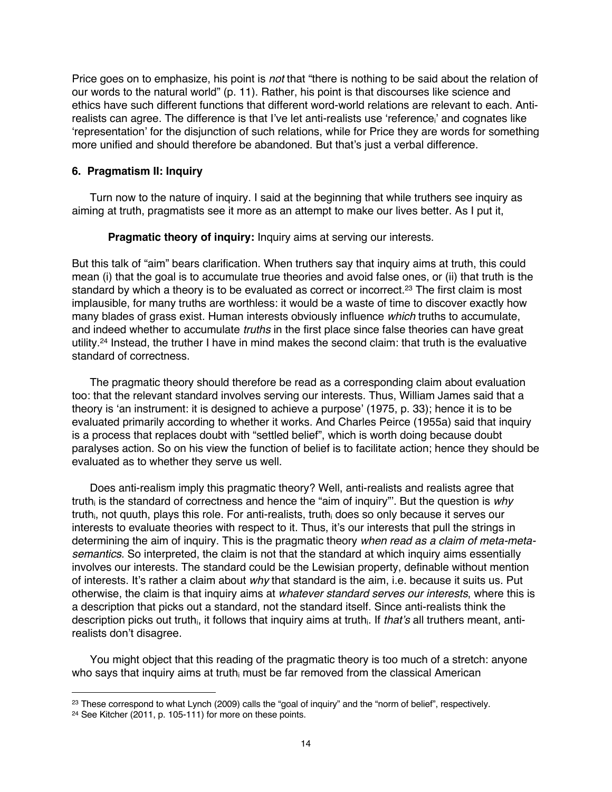Price goes on to emphasize, his point is *not* that "there is nothing to be said about the relation of our words to the natural world" (p. 11). Rather, his point is that discourses like science and ethics have such different functions that different word-world relations are relevant to each. Antirealists can agree. The difference is that I've let anti-realists use 'referencei' and cognates like 'representation' for the disjunction of such relations, while for Price they are words for something more unified and should therefore be abandoned. But that's just a verbal difference.

# **6. Pragmatism II: Inquiry**

Turn now to the nature of inquiry. I said at the beginning that while truthers see inquiry as aiming at truth, pragmatists see it more as an attempt to make our lives better. As I put it,

# **Pragmatic theory of inquiry:** Inquiry aims at serving our interests.

But this talk of "aim" bears clarification. When truthers say that inquiry aims at truth, this could mean (i) that the goal is to accumulate true theories and avoid false ones, or (ii) that truth is the standard by which a theory is to be evaluated as correct or incorrect. <sup>23</sup> The first claim is most implausible, for many truths are worthless: it would be a waste of time to discover exactly how many blades of grass exist. Human interests obviously influence *which* truths to accumulate, and indeed whether to accumulate *truths* in the first place since false theories can have great utility. <sup>24</sup> Instead, the truther I have in mind makes the second claim: that truth is the evaluative standard of correctness.

The pragmatic theory should therefore be read as a corresponding claim about evaluation too: that the relevant standard involves serving our interests. Thus, William James said that a theory is 'an instrument: it is designed to achieve a purpose' (1975, p. 33); hence it is to be evaluated primarily according to whether it works. And Charles Peirce (1955a) said that inquiry is a process that replaces doubt with "settled belief", which is worth doing because doubt paralyses action. So on his view the function of belief is to facilitate action; hence they should be evaluated as to whether they serve us well.

Does anti-realism imply this pragmatic theory? Well, anti-realists and realists agree that truth<sub>i</sub> is the standard of correctness and hence the "aim of inquiry"'. But the question is *why* truth<sub>i</sub>, not quuth, plays this role. For anti-realists, truth<sub>i</sub> does so only because it serves our interests to evaluate theories with respect to it. Thus, it's our interests that pull the strings in determining the aim of inquiry. This is the pragmatic theory *when read as a claim of meta-metasemantics*. So interpreted, the claim is not that the standard at which inquiry aims essentially involves our interests. The standard could be the Lewisian property, definable without mention of interests. It's rather a claim about *why* that standard is the aim, i.e. because it suits us. Put otherwise, the claim is that inquiry aims at *whatever standard serves our interests*, where this is a description that picks out a standard, not the standard itself. Since anti-realists think the description picks out truthi, it follows that inquiry aims at truthi. If *that's* all truthers meant, antirealists don't disagree.

You might object that this reading of the pragmatic theory is too much of a stretch: anyone who says that inquiry aims at truth<sub>i</sub> must be far removed from the classical American

<sup>23</sup> These correspond to what Lynch (2009) calls the "goal of inquiry" and the "norm of belief", respectively.

<sup>24</sup> See Kitcher (2011, p. 105-111) for more on these points.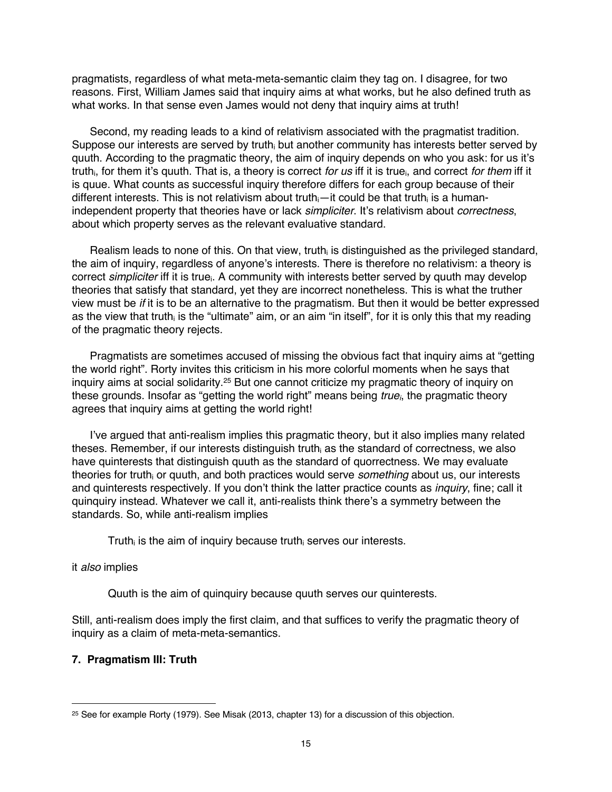pragmatists, regardless of what meta-meta-semantic claim they tag on. I disagree, for two reasons. First, William James said that inquiry aims at what works, but he also defined truth as what works. In that sense even James would not deny that inquiry aims at truth!

Second, my reading leads to a kind of relativism associated with the pragmatist tradition. Suppose our interests are served by truth<sub>i</sub> but another community has interests better served by quuth. According to the pragmatic theory, the aim of inquiry depends on who you ask: for us it's truthi, for them it's quuth. That is, a theory is correct *for us* iff it is truei, and correct *for them* iff it is quue. What counts as successful inquiry therefore differs for each group because of their different interests. This is not relativism about truth $_i$ —it could be that truth $_i$  is a humanindependent property that theories have or lack *simpliciter*. It's relativism about *correctness*, about which property serves as the relevant evaluative standard.

Realism leads to none of this. On that view, truth is distinguished as the privileged standard, the aim of inquiry, regardless of anyone's interests. There is therefore no relativism: a theory is correct *simpliciter* iff it is truei. A community with interests better served by quuth may develop theories that satisfy that standard, yet they are incorrect nonetheless. This is what the truther view must be *if* it is to be an alternative to the pragmatism. But then it would be better expressed as the view that truth<sub>i</sub> is the "ultimate" aim, or an aim "in itself", for it is only this that my reading of the pragmatic theory rejects.

Pragmatists are sometimes accused of missing the obvious fact that inquiry aims at "getting the world right". Rorty invites this criticism in his more colorful moments when he says that inquiry aims at social solidarity.25 But one cannot criticize my pragmatic theory of inquiry on these grounds. Insofar as "getting the world right" means being *truei*, the pragmatic theory agrees that inquiry aims at getting the world right!

I've argued that anti-realism implies this pragmatic theory, but it also implies many related theses. Remember, if our interests distinguish truth<sub>i</sub> as the standard of correctness, we also have quinterests that distinguish quuth as the standard of quorrectness. We may evaluate theories for truthi or quuth, and both practices would serve *something* about us, our interests and quinterests respectively. If you don't think the latter practice counts as *inquiry*, fine; call it quinquiry instead. Whatever we call it, anti-realists think there's a symmetry between the standards. So, while anti-realism implies

Truth<sub>i</sub> is the aim of inquiry because truth<sub>i</sub> serves our interests.

it *also* implies

Quuth is the aim of quinquiry because quuth serves our quinterests.

Still, anti-realism does imply the first claim, and that suffices to verify the pragmatic theory of inquiry as a claim of meta-meta-semantics.

## **7. Pragmatism III: Truth**

<sup>25</sup> See for example Rorty (1979). See Misak (2013, chapter 13) for a discussion of this objection.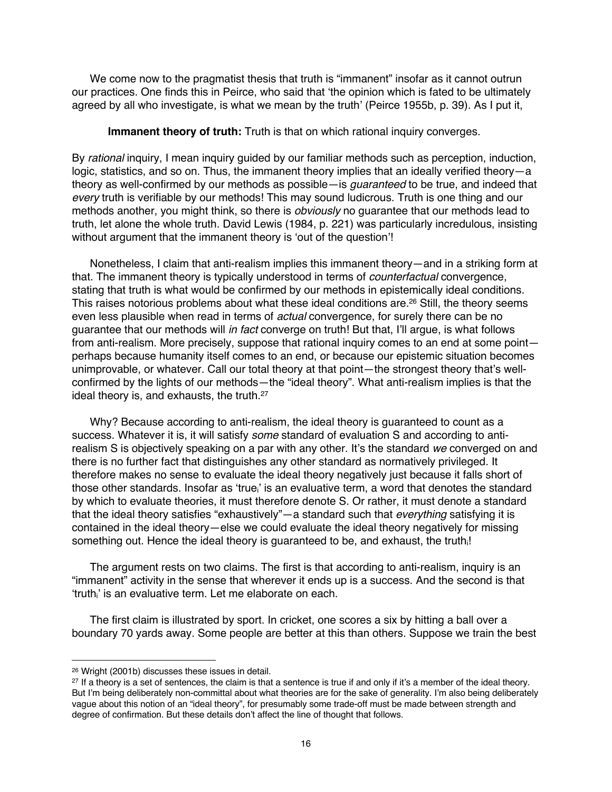We come now to the pragmatist thesis that truth is "immanent" insofar as it cannot outrun our practices. One finds this in Peirce, who said that 'the opinion which is fated to be ultimately agreed by all who investigate, is what we mean by the truth' (Peirce 1955b, p. 39). As I put it,

### **Immanent theory of truth:** Truth is that on which rational inquiry converges.

By *rational* inquiry, I mean inquiry guided by our familiar methods such as perception, induction, logic, statistics, and so on. Thus, the immanent theory implies that an ideally verified theory—a theory as well-confirmed by our methods as possible—is *guaranteed* to be true, and indeed that *every* truth is verifiable by our methods! This may sound ludicrous. Truth is one thing and our methods another, you might think, so there is *obviously* no guarantee that our methods lead to truth, let alone the whole truth. David Lewis (1984, p. 221) was particularly incredulous, insisting without argument that the immanent theory is 'out of the question'!

Nonetheless, I claim that anti-realism implies this immanent theory—and in a striking form at that. The immanent theory is typically understood in terms of *counterfactual* convergence, stating that truth is what would be confirmed by our methods in epistemically ideal conditions. This raises notorious problems about what these ideal conditions are.<sup>26</sup> Still, the theory seems even less plausible when read in terms of *actual* convergence, for surely there can be no guarantee that our methods will *in fact* converge on truth! But that, I'll argue, is what follows from anti-realism. More precisely, suppose that rational inquiry comes to an end at some point perhaps because humanity itself comes to an end, or because our epistemic situation becomes unimprovable, or whatever. Call our total theory at that point—the strongest theory that's wellconfirmed by the lights of our methods—the "ideal theory". What anti-realism implies is that the ideal theory is, and exhausts, the truth.<sup>27</sup>

Why? Because according to anti-realism, the ideal theory is guaranteed to count as a success. Whatever it is, it will satisfy *some* standard of evaluation S and according to antirealism S is objectively speaking on a par with any other. It's the standard *we* converged on and there is no further fact that distinguishes any other standard as normatively privileged. It therefore makes no sense to evaluate the ideal theory negatively just because it falls short of those other standards. Insofar as 'truei' is an evaluative term, a word that denotes the standard by which to evaluate theories, it must therefore denote S. Or rather, it must denote a standard that the ideal theory satisfies "exhaustively"—a standard such that *everything* satisfying it is contained in the ideal theory—else we could evaluate the ideal theory negatively for missing something out. Hence the ideal theory is guaranteed to be, and exhaust, the truthi!

The argument rests on two claims. The first is that according to anti-realism, inquiry is an "immanent" activity in the sense that wherever it ends up is a success. And the second is that 'truthi' is an evaluative term. Let me elaborate on each.

The first claim is illustrated by sport. In cricket, one scores a six by hitting a ball over a boundary 70 yards away. Some people are better at this than others. Suppose we train the best

<sup>26</sup> Wright (2001b) discusses these issues in detail.

<sup>&</sup>lt;sup>27</sup> If a theory is a set of sentences, the claim is that a sentence is true if and only if it's a member of the ideal theory. But I'm being deliberately non-committal about what theories are for the sake of generality. I'm also being deliberately vague about this notion of an "ideal theory", for presumably some trade-off must be made between strength and degree of confirmation. But these details don't affect the line of thought that follows.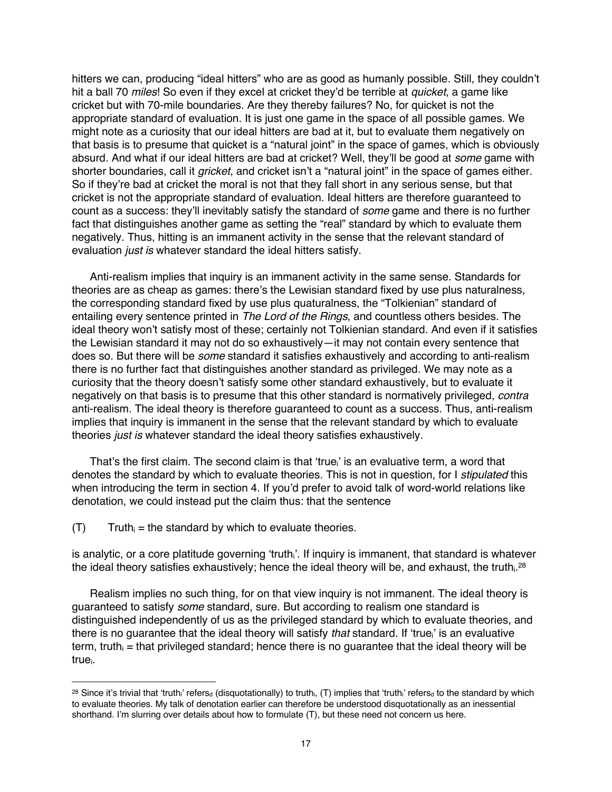hitters we can, producing "ideal hitters" who are as good as humanly possible. Still, they couldn't hit a ball 70 *miles*! So even if they excel at cricket they'd be terrible at *quicket*, a game like cricket but with 70-mile boundaries. Are they thereby failures? No, for quicket is not the appropriate standard of evaluation. It is just one game in the space of all possible games. We might note as a curiosity that our ideal hitters are bad at it, but to evaluate them negatively on that basis is to presume that quicket is a "natural joint" in the space of games, which is obviously absurd. And what if our ideal hitters are bad at cricket? Well, they'll be good at *some* game with shorter boundaries, call it *gricket*, and cricket isn't a "natural joint" in the space of games either. So if they're bad at cricket the moral is not that they fall short in any serious sense, but that cricket is not the appropriate standard of evaluation. Ideal hitters are therefore guaranteed to count as a success: they'll inevitably satisfy the standard of *some* game and there is no further fact that distinguishes another game as setting the "real" standard by which to evaluate them negatively. Thus, hitting is an immanent activity in the sense that the relevant standard of evaluation *just is* whatever standard the ideal hitters satisfy.

Anti-realism implies that inquiry is an immanent activity in the same sense. Standards for theories are as cheap as games: there's the Lewisian standard fixed by use plus naturalness, the corresponding standard fixed by use plus quaturalness, the "Tolkienian" standard of entailing every sentence printed in *The Lord of the Rings*, and countless others besides. The ideal theory won't satisfy most of these; certainly not Tolkienian standard. And even if it satisfies the Lewisian standard it may not do so exhaustively—it may not contain every sentence that does so. But there will be *some* standard it satisfies exhaustively and according to anti-realism there is no further fact that distinguishes another standard as privileged. We may note as a curiosity that the theory doesn't satisfy some other standard exhaustively, but to evaluate it negatively on that basis is to presume that this other standard is normatively privileged, *contra* anti-realism. The ideal theory is therefore guaranteed to count as a success. Thus, anti-realism implies that inquiry is immanent in the sense that the relevant standard by which to evaluate theories *just is* whatever standard the ideal theory satisfies exhaustively.

That's the first claim. The second claim is that 'true<sub>i</sub>' is an evaluative term, a word that denotes the standard by which to evaluate theories. This is not in question, for I *stipulated* this when introducing the term in section 4. If you'd prefer to avoid talk of word-world relations like denotation, we could instead put the claim thus: that the sentence

 $(T)$  Truth<sub>i</sub> = the standard by which to evaluate theories.

is analytic, or a core platitude governing 'truth<sub>i</sub>'. If inquiry is immanent, that standard is whatever the ideal theory satisfies exhaustively; hence the ideal theory will be, and exhaust, the truth $\cdot^{28}$ 

Realism implies no such thing, for on that view inquiry is not immanent. The ideal theory is guaranteed to satisfy *some* standard, sure. But according to realism one standard is distinguished independently of us as the privileged standard by which to evaluate theories, and there is no guarantee that the ideal theory will satisfy *that* standard. If 'truei' is an evaluative term, truth $i =$  that privileged standard; hence there is no guarantee that the ideal theory will be truei.

<sup>&</sup>lt;sup>28</sup> Since it's trivial that 'truthi' refersd (disquotationally) to truthi, (T) implies that 'truthi' refersd to the standard by which to evaluate theories. My talk of denotation earlier can therefore be understood disquotationally as an inessential shorthand. I'm slurring over details about how to formulate (T), but these need not concern us here.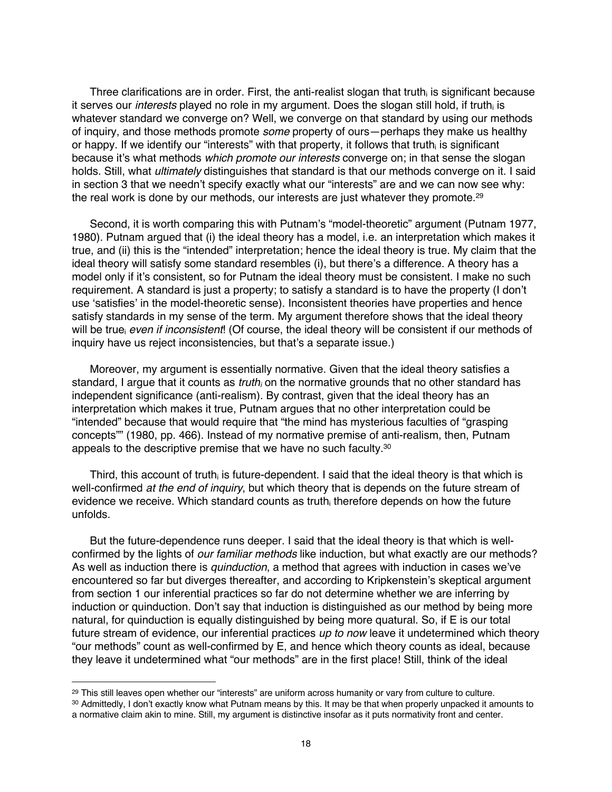Three clarifications are in order. First, the anti-realist slogan that truthe is significant because it serves our *interests* played no role in my argument. Does the slogan still hold, if truthi is whatever standard we converge on? Well, we converge on that standard by using our methods of inquiry, and those methods promote *some* property of ours—perhaps they make us healthy or happy. If we identify our "interests" with that property, it follows that truthi is significant because it's what methods *which promote our interests* converge on; in that sense the slogan holds. Still, what *ultimately* distinguishes that standard is that our methods converge on it. I said in section 3 that we needn't specify exactly what our "interests" are and we can now see why: the real work is done by our methods, our interests are just whatever they promote. 29

Second, it is worth comparing this with Putnam's "model-theoretic" argument (Putnam 1977, 1980). Putnam argued that (i) the ideal theory has a model, i.e. an interpretation which makes it true, and (ii) this is the "intended" interpretation; hence the ideal theory is true. My claim that the ideal theory will satisfy some standard resembles (i), but there's a difference. A theory has a model only if it's consistent, so for Putnam the ideal theory must be consistent. I make no such requirement. A standard is just a property; to satisfy a standard is to have the property (I don't use 'satisfies' in the model-theoretic sense). Inconsistent theories have properties and hence satisfy standards in my sense of the term. My argument therefore shows that the ideal theory will be true<sub>i</sub> *even if inconsistent*! (Of course, the ideal theory will be consistent if our methods of inquiry have us reject inconsistencies, but that's a separate issue.)

Moreover, my argument is essentially normative. Given that the ideal theory satisfies a standard, I argue that it counts as *truth<sub>i</sub>* on the normative grounds that no other standard has independent significance (anti-realism). By contrast, given that the ideal theory has an interpretation which makes it true, Putnam argues that no other interpretation could be "intended" because that would require that "the mind has mysterious faculties of "grasping concepts"" (1980, pp. 466). Instead of my normative premise of anti-realism, then, Putnam appeals to the descriptive premise that we have no such faculty.30

Third, this account of truth<sub>i</sub> is future-dependent. I said that the ideal theory is that which is well-confirmed *at the end of inquiry*, but which theory that is depends on the future stream of evidence we receive. Which standard counts as truthit therefore depends on how the future unfolds.

But the future-dependence runs deeper. I said that the ideal theory is that which is wellconfirmed by the lights of *our familiar methods* like induction, but what exactly are our methods? As well as induction there is *quinduction*, a method that agrees with induction in cases we've encountered so far but diverges thereafter, and according to Kripkenstein's skeptical argument from section 1 our inferential practices so far do not determine whether we are inferring by induction or quinduction. Don't say that induction is distinguished as our method by being more natural, for quinduction is equally distinguished by being more quatural. So, if E is our total future stream of evidence, our inferential practices *up to now* leave it undetermined which theory "our methods" count as well-confirmed by E, and hence which theory counts as ideal, because they leave it undetermined what "our methods" are in the first place! Still, think of the ideal

<sup>&</sup>lt;sup>29</sup> This still leaves open whether our "interests" are uniform across humanity or vary from culture to culture.

<sup>30</sup> Admittedly, I don't exactly know what Putnam means by this. It may be that when properly unpacked it amounts to a normative claim akin to mine. Still, my argument is distinctive insofar as it puts normativity front and center.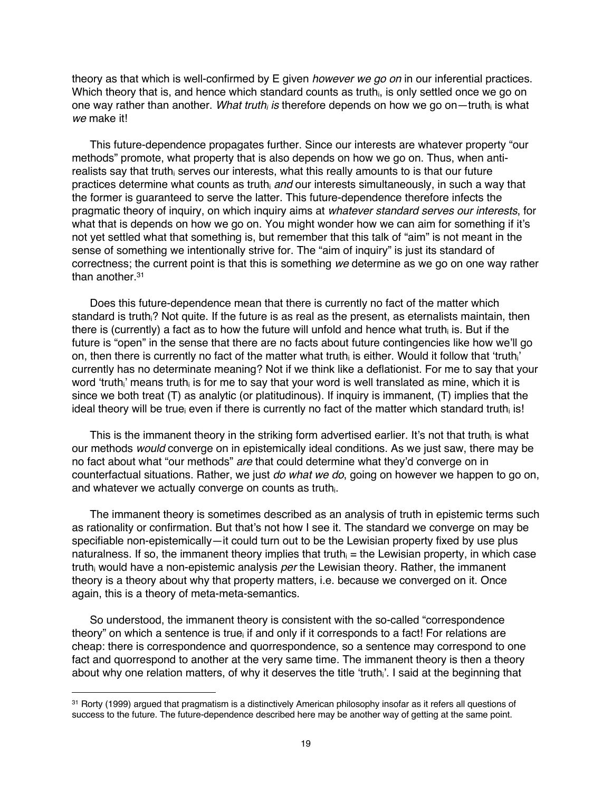theory as that which is well-confirmed by E given *however we go on* in our inferential practices. Which theory that is, and hence which standard counts as truth, is only settled once we go on one way rather than another. *What truth<sub>i</sub> is* therefore depends on how we go on—truth<sub>i</sub> is what *we* make it!

This future-dependence propagates further. Since our interests are whatever property "our methods" promote, what property that is also depends on how we go on. Thus, when antirealists say that truth<sub>i</sub> serves our interests, what this really amounts to is that our future practices determine what counts as truthi *and* our interests simultaneously, in such a way that the former is guaranteed to serve the latter. This future-dependence therefore infects the pragmatic theory of inquiry, on which inquiry aims at *whatever standard serves our interests*, for what that is depends on how we go on. You might wonder how we can aim for something if it's not yet settled what that something is, but remember that this talk of "aim" is not meant in the sense of something we intentionally strive for. The "aim of inquiry" is just its standard of correctness; the current point is that this is something *we* determine as we go on one way rather than another.<sup>31</sup>

Does this future-dependence mean that there is currently no fact of the matter which standard is truth<sup>?</sup> Not quite. If the future is as real as the present, as eternalists maintain, then there is (currently) a fact as to how the future will unfold and hence what truthe is. But if the future is "open" in the sense that there are no facts about future contingencies like how we'll go on, then there is currently no fact of the matter what truth, is either. Would it follow that 'truthi' currently has no determinate meaning? Not if we think like a deflationist. For me to say that your word 'truth<sub>i</sub>' means truth<sub>i</sub> is for me to say that your word is well translated as mine, which it is since we both treat (T) as analytic (or platitudinous). If inquiry is immanent, (T) implies that the ideal theory will be true<sub>i</sub> even if there is currently no fact of the matter which standard truth<sub>i</sub> is!

This is the immanent theory in the striking form advertised earlier. It's not that truth<sub>i</sub> is what our methods *would* converge on in epistemically ideal conditions. As we just saw, there may be no fact about what "our methods" *are* that could determine what they'd converge on in counterfactual situations. Rather, we just *do what we do*, going on however we happen to go on, and whatever we actually converge on counts as truthi.

The immanent theory is sometimes described as an analysis of truth in epistemic terms such as rationality or confirmation. But that's not how I see it. The standard we converge on may be specifiable non-epistemically—it could turn out to be the Lewisian property fixed by use plus naturalness. If so, the immanent theory implies that truth $<sub>i</sub>$  = the Lewisian property, in which case</sub> truth<sub>i</sub> would have a non-epistemic analysis *per* the Lewisian theory. Rather, the immanent theory is a theory about why that property matters, i.e. because we converged on it. Once again, this is a theory of meta-meta-semantics.

So understood, the immanent theory is consistent with the so-called "correspondence theory" on which a sentence is truei if and only if it corresponds to a fact! For relations are cheap: there is correspondence and quorrespondence, so a sentence may correspond to one fact and quorrespond to another at the very same time. The immanent theory is then a theory about why one relation matters, of why it deserves the title 'truthi'. I said at the beginning that

<sup>31</sup> Rorty (1999) argued that pragmatism is a distinctively American philosophy insofar as it refers all questions of success to the future. The future-dependence described here may be another way of getting at the same point.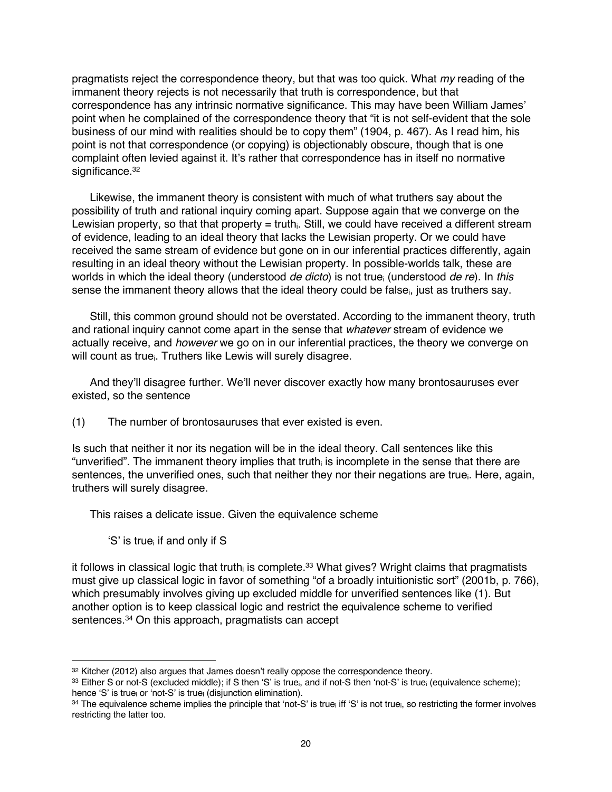pragmatists reject the correspondence theory, but that was too quick. What *my* reading of the immanent theory rejects is not necessarily that truth is correspondence, but that correspondence has any intrinsic normative significance. This may have been William James' point when he complained of the correspondence theory that "it is not self-evident that the sole business of our mind with realities should be to copy them" (1904, p. 467). As I read him, his point is not that correspondence (or copying) is objectionably obscure, though that is one complaint often levied against it. It's rather that correspondence has in itself no normative significance.<sup>32</sup>

Likewise, the immanent theory is consistent with much of what truthers say about the possibility of truth and rational inquiry coming apart. Suppose again that we converge on the Lewisian property, so that that property  $=$  truth<sub>i</sub>. Still, we could have received a different stream of evidence, leading to an ideal theory that lacks the Lewisian property. Or we could have received the same stream of evidence but gone on in our inferential practices differently, again resulting in an ideal theory without the Lewisian property. In possible-worlds talk, these are worlds in which the ideal theory (understood *de dicto*) is not truei (understood *de re*). In *this* sense the immanent theory allows that the ideal theory could be false $_{i}$ , just as truthers say.

Still, this common ground should not be overstated. According to the immanent theory, truth and rational inquiry cannot come apart in the sense that *whatever* stream of evidence we actually receive, and *however* we go on in our inferential practices, the theory we converge on will count as true<sub>i</sub>. Truthers like Lewis will surely disagree.

And they'll disagree further. We'll never discover exactly how many brontosauruses ever existed, so the sentence

(1) The number of brontosauruses that ever existed is even.

Is such that neither it nor its negation will be in the ideal theory. Call sentences like this "unverified". The immanent theory implies that truth<sub>i</sub> is incomplete in the sense that there are sentences, the unverified ones, such that neither they nor their negations are truei. Here, again, truthers will surely disagree.

This raises a delicate issue. Given the equivalence scheme

'S' is true<sub>i</sub> if and only if S

it follows in classical logic that truth<sub>i</sub> is complete.<sup>33</sup> What gives? Wright claims that pragmatists must give up classical logic in favor of something "of a broadly intuitionistic sort" (2001b, p. 766), which presumably involves giving up excluded middle for unverified sentences like (1). But another option is to keep classical logic and restrict the equivalence scheme to verified sentences.34 On this approach, pragmatists can accept

<sup>32</sup> Kitcher (2012) also argues that James doesn't really oppose the correspondence theory.

<sup>33</sup> Either S or not-S (excluded middle); if S then 'S' is truei, and if not-S then 'not-S' is truei (equivalence scheme); hence 'S' is truei or 'not-S' is truei (disjunction elimination).

<sup>34</sup> The equivalence scheme implies the principle that 'not-S' is true<sub>i</sub> iff 'S' is not true<sub>i</sub>, so restricting the former involves restricting the latter too.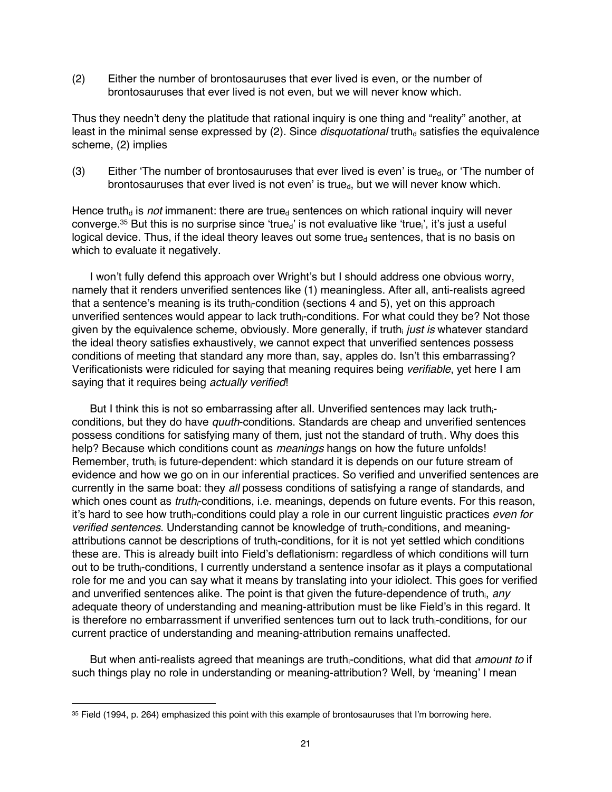(2) Either the number of brontosauruses that ever lived is even, or the number of brontosauruses that ever lived is not even, but we will never know which.

Thus they needn't deny the platitude that rational inquiry is one thing and "reality" another, at least in the minimal sense expressed by (2). Since *disquotational* truth<sub>d</sub> satisfies the equivalence scheme, (2) implies

(3) Either 'The number of brontosauruses that ever lived is even' is true<sub>d</sub>, or 'The number of brontosauruses that ever lived is not even' is true $_d$ , but we will never know which.

Hence truth<sub>d</sub> is *not* immanent: there are true<sub>d</sub> sentences on which rational inquiry will never converge.<sup>35</sup> But this is no surprise since 'true<sub>d</sub>' is not evaluative like 'true<sub>i</sub>', it's just a useful logical device. Thus, if the ideal theory leaves out some true $_d$  sentences, that is no basis on which to evaluate it negatively.

I won't fully defend this approach over Wright's but I should address one obvious worry, namely that it renders unverified sentences like (1) meaningless. After all, anti-realists agreed that a sentence's meaning is its truth<sub>i</sub>-condition (sections 4 and 5), yet on this approach unverified sentences would appear to lack truthi-conditions. For what could they be? Not those given by the equivalence scheme, obviously. More generally, if truth<sub>i</sub> just is whatever standard the ideal theory satisfies exhaustively, we cannot expect that unverified sentences possess conditions of meeting that standard any more than, say, apples do. Isn't this embarrassing? Verificationists were ridiculed for saying that meaning requires being *verifiable*, yet here I am saying that it requires being *actually verified*!

But I think this is not so embarrassing after all. Unverified sentences may lack truthiconditions, but they do have *quuth*-conditions. Standards are cheap and unverified sentences possess conditions for satisfying many of them, just not the standard of truthi. Why does this help? Because which conditions count as *meanings* hangs on how the future unfolds! Remember, truth<sub>i</sub> is future-dependent: which standard it is depends on our future stream of evidence and how we go on in our inferential practices. So verified and unverified sentences are currently in the same boat: they *all* possess conditions of satisfying a range of standards, and which ones count as *truth<sub>i</sub>*-conditions, i.e. meanings, depends on future events. For this reason, it's hard to see how truthi-conditions could play a role in our current linguistic practices *even for verified sentences*. Understanding cannot be knowledge of truthi-conditions, and meaningattributions cannot be descriptions of truthi-conditions, for it is not yet settled which conditions these are. This is already built into Field's deflationism: regardless of which conditions will turn out to be truthi-conditions, I currently understand a sentence insofar as it plays a computational role for me and you can say what it means by translating into your idiolect. This goes for verified and unverified sentences alike. The point is that given the future-dependence of truth<sub>i</sub>, any adequate theory of understanding and meaning-attribution must be like Field's in this regard. It is therefore no embarrassment if unverified sentences turn out to lack truth<sub>i</sub>-conditions, for our current practice of understanding and meaning-attribution remains unaffected.

But when anti-realists agreed that meanings are truthi-conditions, what did that *amount to* if such things play no role in understanding or meaning-attribution? Well, by 'meaning' I mean

<sup>35</sup> Field (1994, p. 264) emphasized this point with this example of brontosauruses that I'm borrowing here.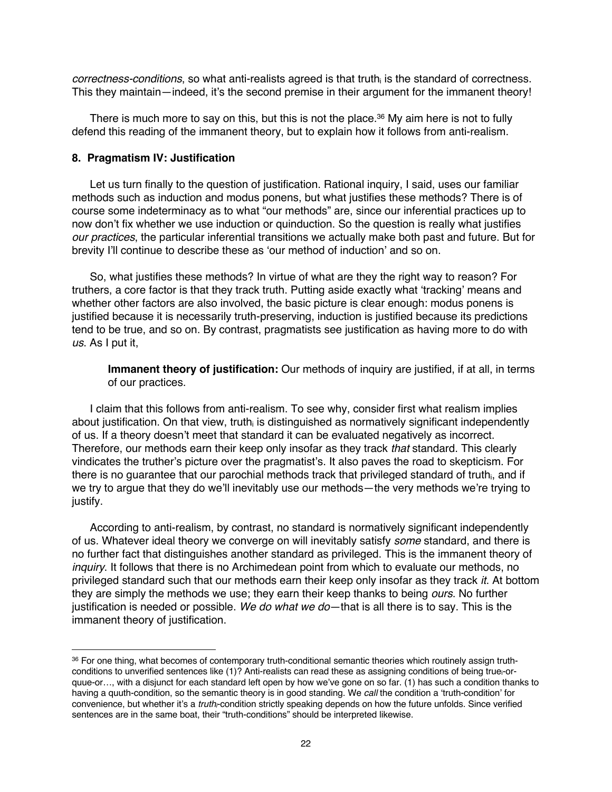*correctness-conditions*, so what anti-realists agreed is that truthi is the standard of correctness. This they maintain—indeed, it's the second premise in their argument for the immanent theory!

There is much more to say on this, but this is not the place. <sup>36</sup> My aim here is not to fully defend this reading of the immanent theory, but to explain how it follows from anti-realism.

### **8. Pragmatism IV: Justification**

Let us turn finally to the question of justification. Rational inquiry, I said, uses our familiar methods such as induction and modus ponens, but what justifies these methods? There is of course some indeterminacy as to what "our methods" are, since our inferential practices up to now don't fix whether we use induction or quinduction. So the question is really what justifies *our practices*, the particular inferential transitions we actually make both past and future. But for brevity I'll continue to describe these as 'our method of induction' and so on.

So, what justifies these methods? In virtue of what are they the right way to reason? For truthers, a core factor is that they track truth. Putting aside exactly what 'tracking' means and whether other factors are also involved, the basic picture is clear enough: modus ponens is justified because it is necessarily truth-preserving, induction is justified because its predictions tend to be true, and so on. By contrast, pragmatists see justification as having more to do with *us*. As I put it,

**Immanent theory of justification:** Our methods of inquiry are justified, if at all, in terms of our practices.

I claim that this follows from anti-realism. To see why, consider first what realism implies about justification. On that view, truth<sub>i</sub> is distinguished as normatively significant independently of us. If a theory doesn't meet that standard it can be evaluated negatively as incorrect. Therefore, our methods earn their keep only insofar as they track *that* standard. This clearly vindicates the truther's picture over the pragmatist's. It also paves the road to skepticism. For there is no quarantee that our parochial methods track that privileged standard of truth<sub>i</sub>, and if we try to argue that they do we'll inevitably use our methods—the very methods we're trying to justify.

According to anti-realism, by contrast, no standard is normatively significant independently of us. Whatever ideal theory we converge on will inevitably satisfy *some* standard, and there is no further fact that distinguishes another standard as privileged. This is the immanent theory of *inquiry*. It follows that there is no Archimedean point from which to evaluate our methods, no privileged standard such that our methods earn their keep only insofar as they track *it*. At bottom they are simply the methods we use; they earn their keep thanks to being *ours*. No further justification is needed or possible. *We do what we do*—that is all there is to say. This is the immanent theory of justification.

<sup>36</sup> For one thing, what becomes of contemporary truth-conditional semantic theories which routinely assign truthconditions to unverified sentences like (1)? Anti-realists can read these as assigning conditions of being truei-orquue-or…, with a disjunct for each standard left open by how we've gone on so far. (1) has such a condition thanks to having a quuth-condition, so the semantic theory is in good standing. We *call* the condition a 'truth-condition' for convenience, but whether it's a *truth<sub>i</sub>*-condition strictly speaking depends on how the future unfolds. Since verified sentences are in the same boat, their "truth-conditions" should be interpreted likewise.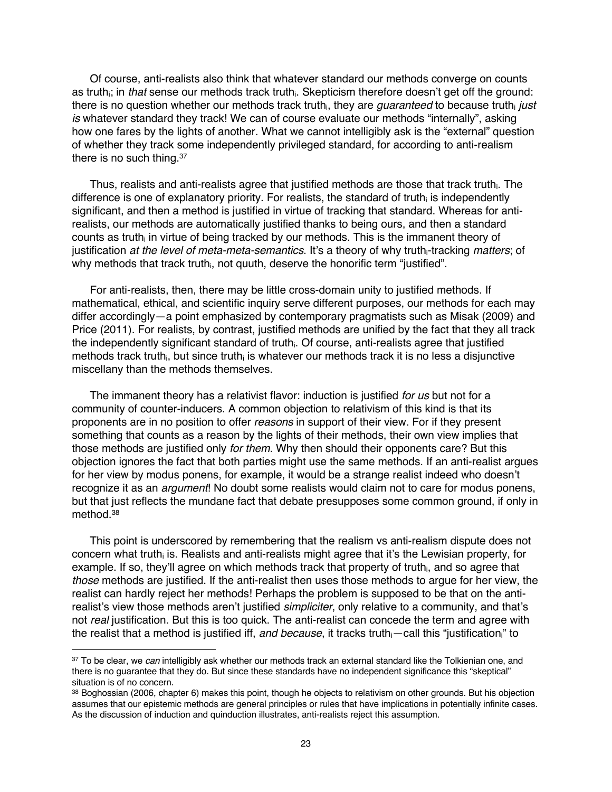Of course, anti-realists also think that whatever standard our methods converge on counts as truth<sub>i</sub>; in *that* sense our methods track truth<sub>i</sub>. Skepticism therefore doesn't get off the ground: there is no question whether our methods track truthi, they are *guaranteed* to because truthi *just is* whatever standard they track! We can of course evaluate our methods "internally", asking how one fares by the lights of another. What we cannot intelligibly ask is the "external" question of whether they track some independently privileged standard, for according to anti-realism there is no such thing.<sup>37</sup>

Thus, realists and anti-realists agree that justified methods are those that track truthi. The difference is one of explanatory priority. For realists, the standard of truthely is independently significant, and then a method is justified in virtue of tracking that standard. Whereas for antirealists, our methods are automatically justified thanks to being ours, and then a standard counts as truth<sub>i</sub> in virtue of being tracked by our methods. This is the immanent theory of justification *at the level of meta-meta-semantics*. It's a theory of why truthi-tracking *matters*; of why methods that track truth<sub>i</sub>, not quuth, deserve the honorific term "justified".

For anti-realists, then, there may be little cross-domain unity to justified methods. If mathematical, ethical, and scientific inquiry serve different purposes, our methods for each may differ accordingly—a point emphasized by contemporary pragmatists such as Misak (2009) and Price (2011). For realists, by contrast, justified methods are unified by the fact that they all track the independently significant standard of truthi. Of course, anti-realists agree that justified methods track truth<sub>i</sub>, but since truth<sub>i</sub> is whatever our methods track it is no less a disjunctive miscellany than the methods themselves.

The immanent theory has a relativist flavor: induction is justified *for us* but not for a community of counter-inducers. A common objection to relativism of this kind is that its proponents are in no position to offer *reasons* in support of their view. For if they present something that counts as a reason by the lights of their methods, their own view implies that those methods are justified only *for them*. Why then should their opponents care? But this objection ignores the fact that both parties might use the same methods. If an anti-realist argues for her view by modus ponens, for example, it would be a strange realist indeed who doesn't recognize it as an *argument*! No doubt some realists would claim not to care for modus ponens, but that just reflects the mundane fact that debate presupposes some common ground, if only in method.38

This point is underscored by remembering that the realism vs anti-realism dispute does not concern what truth<sub>i</sub> is. Realists and anti-realists might agree that it's the Lewisian property, for example. If so, they'll agree on which methods track that property of truthi, and so agree that *those* methods are justified. If the anti-realist then uses those methods to argue for her view, the realist can hardly reject her methods! Perhaps the problem is supposed to be that on the antirealist's view those methods aren't justified *simpliciter*, only relative to a community, and that's not *real* justification. But this is too quick. The anti-realist can concede the term and agree with the realist that a method is justified iff, *and because*, it tracks truthi—call this "justificationi" to

<sup>37</sup> To be clear, we *can* intelligibly ask whether our methods track an external standard like the Tolkienian one, and there is no guarantee that they do. But since these standards have no independent significance this "skeptical" situation is of no concern.

<sup>38</sup> Boghossian (2006, chapter 6) makes this point, though he objects to relativism on other grounds. But his objection assumes that our epistemic methods are general principles or rules that have implications in potentially infinite cases. As the discussion of induction and quinduction illustrates, anti-realists reject this assumption.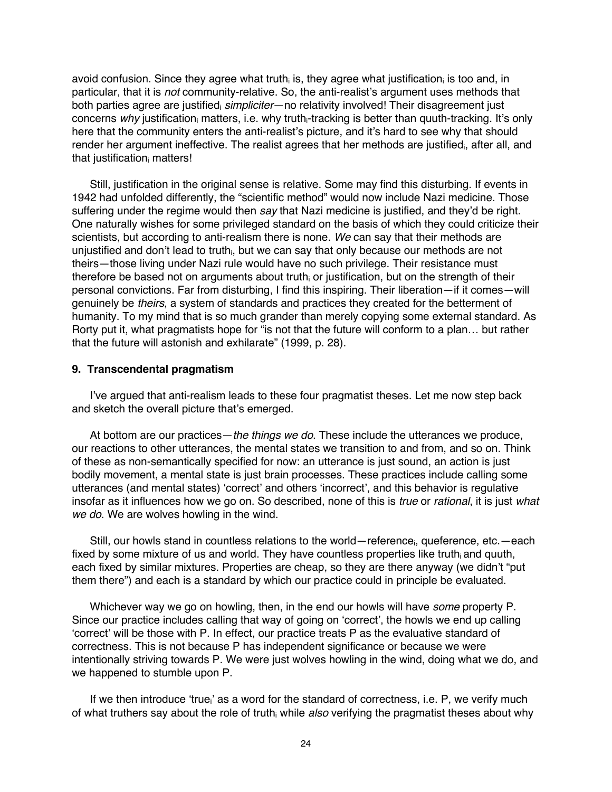avoid confusion. Since they agree what truth<sub>i</sub> is, they agree what justification, is too and, in particular, that it is *not* community-relative. So, the anti-realist's argument uses methods that both parties agree are justifiedi *simpliciter*—no relativity involved! Their disagreement just concerns *why* justification<sub>i</sub> matters, i.e. why truth<sub>i</sub>-tracking is better than quuth-tracking. It's only here that the community enters the anti-realist's picture, and it's hard to see why that should render her argument ineffective. The realist agrees that her methods are justifiedi, after all, and that justification<sub>i</sub> matters!

Still, justification in the original sense is relative. Some may find this disturbing. If events in 1942 had unfolded differently, the "scientific method" would now include Nazi medicine. Those suffering under the regime would then *say* that Nazi medicine is justified, and they'd be right. One naturally wishes for some privileged standard on the basis of which they could criticize their scientists, but according to anti-realism there is none. *We* can say that their methods are unjustified and don't lead to truth<sub>i</sub>, but we can say that only because our methods are not theirs—those living under Nazi rule would have no such privilege. Their resistance must therefore be based not on arguments about truth<sub>i</sub> or justification, but on the strength of their personal convictions. Far from disturbing, I find this inspiring. Their liberation—if it comes—will genuinely be *theirs*, a system of standards and practices they created for the betterment of humanity. To my mind that is so much grander than merely copying some external standard. As Rorty put it, what pragmatists hope for "is not that the future will conform to a plan… but rather that the future will astonish and exhilarate" (1999, p. 28).

### **9. Transcendental pragmatism**

I've argued that anti-realism leads to these four pragmatist theses. Let me now step back and sketch the overall picture that's emerged.

At bottom are our practices—*the things we do*. These include the utterances we produce, our reactions to other utterances, the mental states we transition to and from, and so on. Think of these as non-semantically specified for now: an utterance is just sound, an action is just bodily movement, a mental state is just brain processes. These practices include calling some utterances (and mental states) 'correct' and others 'incorrect', and this behavior is regulative insofar as it influences how we go on. So described, none of this is *true* or *rational*, it is just *what we do*. We are wolves howling in the wind.

Still, our howls stand in countless relations to the world—referencei, queference, etc.—each fixed by some mixture of us and world. They have countless properties like truthe and quuth, each fixed by similar mixtures. Properties are cheap, so they are there anyway (we didn't "put them there") and each is a standard by which our practice could in principle be evaluated.

Whichever way we go on howling, then, in the end our howls will have *some* property P. Since our practice includes calling that way of going on 'correct', the howls we end up calling 'correct' will be those with P. In effect, our practice treats P as the evaluative standard of correctness. This is not because P has independent significance or because we were intentionally striving towards P. We were just wolves howling in the wind, doing what we do, and we happened to stumble upon P.

If we then introduce 'true<sub>i</sub>' as a word for the standard of correctness, i.e. P, we verify much of what truthers say about the role of truth<sub>i</sub> while also verifying the pragmatist theses about why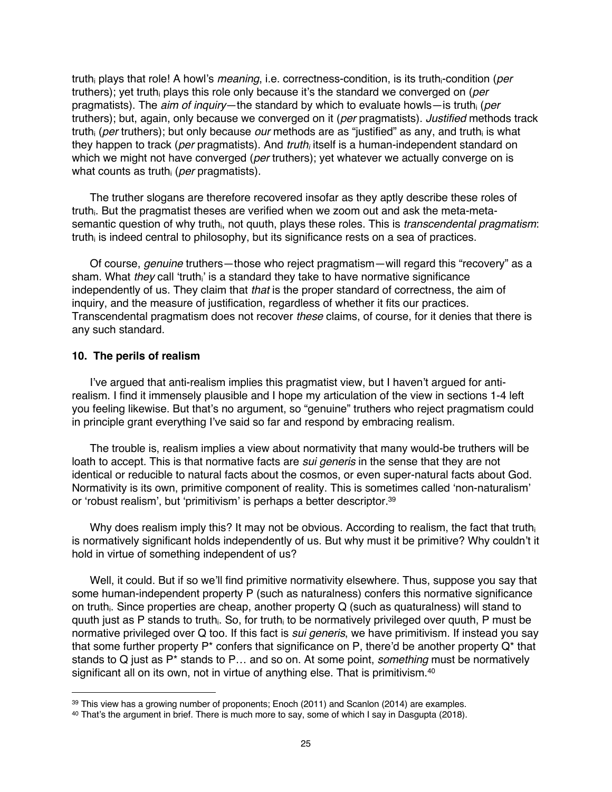truthi plays that role! A howl's *meaning*, i.e. correctness-condition, is its truthi-condition (*per* truthers); yet truthi plays this role only because it's the standard we converged on (*per* pragmatists). The *aim of inquiry*—the standard by which to evaluate howls—is truthi (*per* truthers); but, again, only because we converged on it (*per* pragmatists). *Justified* methods track truth<sub>i</sub> (*per* truthers); but only because *our* methods are as "justified" as any, and truth<sub>i</sub> is what they happen to track (*per* pragmatists). And *truthi* itself is a human-independent standard on which we might not have converged (*per* truthers); yet whatever we actually converge on is what counts as truthi (*per* pragmatists).

The truther slogans are therefore recovered insofar as they aptly describe these roles of truthi. But the pragmatist theses are verified when we zoom out and ask the meta-metasemantic question of why truth<sub>i</sub>, not quuth, plays these roles. This is *transcendental pragmatism*: truth $\mathbf i$  is indeed central to philosophy, but its significance rests on a sea of practices.

Of course, *genuine* truthers—those who reject pragmatism—will regard this "recovery" as a sham. What *they* call 'truthi' is a standard they take to have normative significance independently of us. They claim that *that* is the proper standard of correctness, the aim of inquiry, and the measure of justification, regardless of whether it fits our practices. Transcendental pragmatism does not recover *these* claims, of course, for it denies that there is any such standard.

## **10. The perils of realism**

I've argued that anti-realism implies this pragmatist view, but I haven't argued for antirealism. I find it immensely plausible and I hope my articulation of the view in sections 1-4 left you feeling likewise. But that's no argument, so "genuine" truthers who reject pragmatism could in principle grant everything I've said so far and respond by embracing realism.

The trouble is, realism implies a view about normativity that many would-be truthers will be loath to accept. This is that normative facts are *sui generis* in the sense that they are not identical or reducible to natural facts about the cosmos, or even super-natural facts about God. Normativity is its own, primitive component of reality. This is sometimes called 'non-naturalism' or 'robust realism', but 'primitivism' is perhaps a better descriptor. 39

Why does realism imply this? It may not be obvious. According to realism, the fact that truth is normatively significant holds independently of us. But why must it be primitive? Why couldn't it hold in virtue of something independent of us?

Well, it could. But if so we'll find primitive normativity elsewhere. Thus, suppose you say that some human-independent property P (such as naturalness) confers this normative significance on truth<sub>i</sub>. Since properties are cheap, another property Q (such as quaturalness) will stand to quuth just as P stands to truth<sub>i</sub>. So, for truth<sub>i</sub> to be normatively privileged over quuth, P must be normative privileged over Q too. If this fact is *sui generis*, we have primitivism. If instead you say that some further property  $P^*$  confers that significance on P, there'd be another property  $Q^*$  that stands to Q just as P\* stands to P… and so on. At some point, *something* must be normatively significant all on its own, not in virtue of anything else. That is primitivism.<sup>40</sup>

<sup>39</sup> This view has a growing number of proponents; Enoch (2011) and Scanlon (2014) are examples.

<sup>40</sup> That's the argument in brief. There is much more to say, some of which I say in Dasgupta (2018).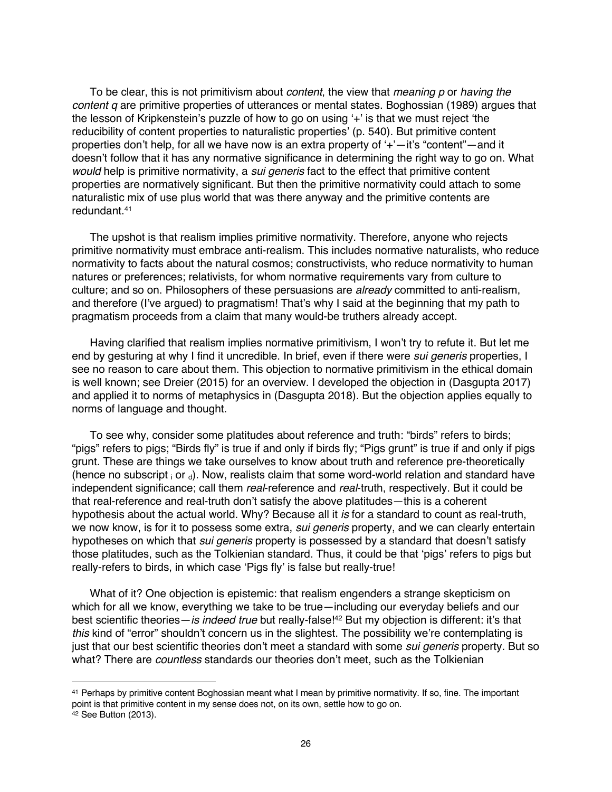To be clear, this is not primitivism about *content*, the view that *meaning p* or *having the content q* are primitive properties of utterances or mental states. Boghossian (1989) argues that the lesson of Kripkenstein's puzzle of how to go on using '+' is that we must reject 'the reducibility of content properties to naturalistic properties' (p. 540). But primitive content properties don't help, for all we have now is an extra property of '+'—it's "content"—and it doesn't follow that it has any normative significance in determining the right way to go on. What *would* help is primitive normativity, a *sui generis* fact to the effect that primitive content properties are normatively significant. But then the primitive normativity could attach to some naturalistic mix of use plus world that was there anyway and the primitive contents are redundant. 41

The upshot is that realism implies primitive normativity. Therefore, anyone who rejects primitive normativity must embrace anti-realism. This includes normative naturalists, who reduce normativity to facts about the natural cosmos; constructivists, who reduce normativity to human natures or preferences; relativists, for whom normative requirements vary from culture to culture; and so on. Philosophers of these persuasions are *already* committed to anti-realism, and therefore (I've argued) to pragmatism! That's why I said at the beginning that my path to pragmatism proceeds from a claim that many would-be truthers already accept.

Having clarified that realism implies normative primitivism, I won't try to refute it. But let me end by gesturing at why I find it uncredible. In brief, even if there were *sui generis* properties, I see no reason to care about them. This objection to normative primitivism in the ethical domain is well known; see Dreier (2015) for an overview. I developed the objection in (Dasgupta 2017) and applied it to norms of metaphysics in (Dasgupta 2018). But the objection applies equally to norms of language and thought.

To see why, consider some platitudes about reference and truth: "birds" refers to birds; "pigs" refers to pigs; "Birds fly" is true if and only if birds fly; "Pigs grunt" is true if and only if pigs grunt. These are things we take ourselves to know about truth and reference pre-theoretically (hence no subscript  $_{\rm i}$  or  $_{\rm d}$ ). Now, realists claim that some word-world relation and standard have independent significance; call them *real*-reference and *real*-truth, respectively. But it could be that real-reference and real-truth don't satisfy the above platitudes—this is a coherent hypothesis about the actual world. Why? Because all it *is* for a standard to count as real-truth, we now know, is for it to possess some extra, *sui generis* property, and we can clearly entertain hypotheses on which that *sui generis* property is possessed by a standard that doesn't satisfy those platitudes, such as the Tolkienian standard. Thus, it could be that 'pigs' refers to pigs but really-refers to birds, in which case 'Pigs fly' is false but really-true!

What of it? One objection is epistemic: that realism engenders a strange skepticism on which for all we know, everything we take to be true—including our everyday beliefs and our best scientific theories—*is indeed true* but really-false! <sup>42</sup> But my objection is different: it's that *this* kind of "error" shouldn't concern us in the slightest. The possibility we're contemplating is just that our best scientific theories don't meet a standard with some *sui generis* property. But so what? There are *countless* standards our theories don't meet, such as the Tolkienian

<sup>41</sup> Perhaps by primitive content Boghossian meant what I mean by primitive normativity. If so, fine. The important point is that primitive content in my sense does not, on its own, settle how to go on. <sup>42</sup> See Button (2013).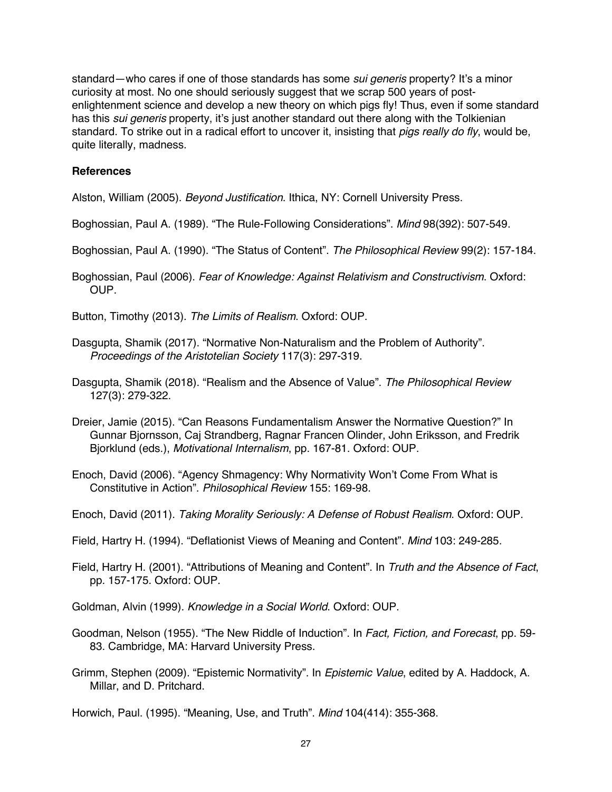standard—who cares if one of those standards has some *sui generis* property? It's a minor curiosity at most. No one should seriously suggest that we scrap 500 years of postenlightenment science and develop a new theory on which pigs fly! Thus, even if some standard has this *sui generis* property, it's just another standard out there along with the Tolkienian standard. To strike out in a radical effort to uncover it, insisting that *pigs really do fly*, would be, quite literally, madness.

## **References**

Alston, William (2005). *Beyond Justification*. Ithica, NY: Cornell University Press.

Boghossian, Paul A. (1989). "The Rule-Following Considerations". *Mind* 98(392): 507-549.

Boghossian, Paul A. (1990). "The Status of Content". *The Philosophical Review* 99(2): 157-184.

Boghossian, Paul (2006). *Fear of Knowledge: Against Relativism and Constructivism*. Oxford: OUP.

Button, Timothy (2013). *The Limits of Realism*. Oxford: OUP.

- Dasgupta, Shamik (2017). "Normative Non-Naturalism and the Problem of Authority". *Proceedings of the Aristotelian Society* 117(3): 297-319.
- Dasgupta, Shamik (2018). "Realism and the Absence of Value". *The Philosophical Review* 127(3): 279-322.
- Dreier, Jamie (2015). "Can Reasons Fundamentalism Answer the Normative Question?" In Gunnar Bjornsson, Caj Strandberg, Ragnar Francen Olinder, John Eriksson, and Fredrik Bjorklund (eds.), *Motivational Internalism*, pp. 167-81. Oxford: OUP.
- Enoch, David (2006). "Agency Shmagency: Why Normativity Won't Come From What is Constitutive in Action". *Philosophical Review* 155: 169-98.
- Enoch, David (2011). *Taking Morality Seriously: A Defense of Robust Realism*. Oxford: OUP.
- Field, Hartry H. (1994). "Deflationist Views of Meaning and Content". *Mind* 103: 249-285.
- Field, Hartry H. (2001). "Attributions of Meaning and Content". In *Truth and the Absence of Fact*, pp. 157-175. Oxford: OUP.
- Goldman, Alvin (1999). *Knowledge in a Social World*. Oxford: OUP.
- Goodman, Nelson (1955). "The New Riddle of Induction". In *Fact, Fiction, and Forecast*, pp. 59- 83. Cambridge, MA: Harvard University Press.
- Grimm, Stephen (2009). "Epistemic Normativity". In *Epistemic Value*, edited by A. Haddock, A. Millar, and D. Pritchard.
- Horwich, Paul. (1995). "Meaning, Use, and Truth". *Mind* 104(414): 355-368.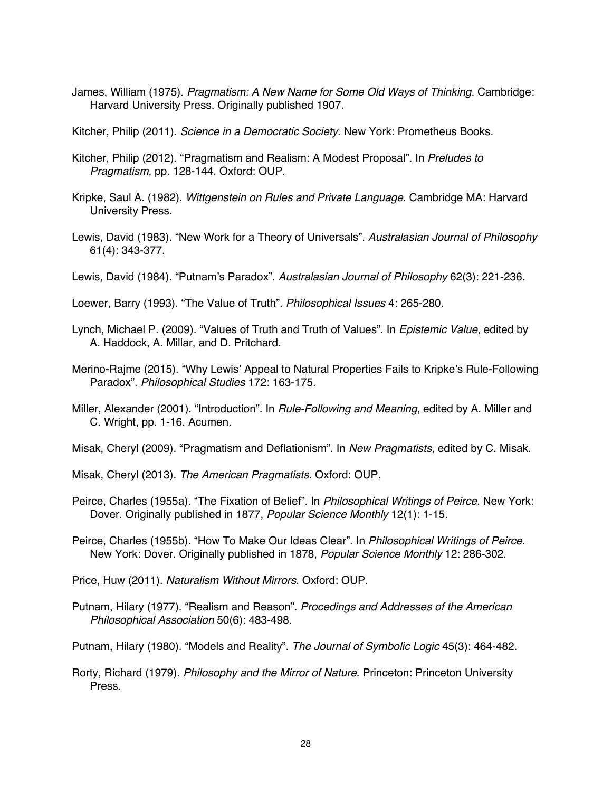James, William (1975). *Pragmatism: A New Name for Some Old Ways of Thinking*. Cambridge: Harvard University Press. Originally published 1907.

Kitcher, Philip (2011). *Science in a Democratic Society*. New York: Prometheus Books.

- Kitcher, Philip (2012). "Pragmatism and Realism: A Modest Proposal". In *Preludes to Pragmatism*, pp. 128-144. Oxford: OUP.
- Kripke, Saul A. (1982). *Wittgenstein on Rules and Private Language*. Cambridge MA: Harvard University Press.
- Lewis, David (1983). "New Work for a Theory of Universals". *Australasian Journal of Philosophy* 61(4): 343-377.
- Lewis, David (1984). "Putnam's Paradox". *Australasian Journal of Philosophy* 62(3): 221-236.
- Loewer, Barry (1993). "The Value of Truth". *Philosophical Issues* 4: 265-280.
- Lynch, Michael P. (2009). "Values of Truth and Truth of Values". In *Epistemic Value*, edited by A. Haddock, A. Millar, and D. Pritchard.
- Merino-Rajme (2015). "Why Lewis' Appeal to Natural Properties Fails to Kripke's Rule-Following Paradox". *Philosophical Studies* 172: 163-175.
- Miller, Alexander (2001). "Introduction". In *Rule-Following and Meaning*, edited by A. Miller and C. Wright, pp. 1-16. Acumen.
- Misak, Cheryl (2009). "Pragmatism and Deflationism". In *New Pragmatists*, edited by C. Misak.
- Misak, Cheryl (2013). *The American Pragmatists*. Oxford: OUP.
- Peirce, Charles (1955a). "The Fixation of Belief". In *Philosophical Writings of Peirce*. New York: Dover. Originally published in 1877, *Popular Science Monthly* 12(1): 1-15.
- Peirce, Charles (1955b). "How To Make Our Ideas Clear". In *Philosophical Writings of Peirce*. New York: Dover. Originally published in 1878, *Popular Science Monthly* 12: 286-302.

Price, Huw (2011). *Naturalism Without Mirrors*. Oxford: OUP.

Putnam, Hilary (1977). "Realism and Reason". *Procedings and Addresses of the American Philosophical Association* 50(6): 483-498.

Putnam, Hilary (1980). "Models and Reality". *The Journal of Symbolic Logic* 45(3): 464-482.

Rorty, Richard (1979). *Philosophy and the Mirror of Nature*. Princeton: Princeton University Press.